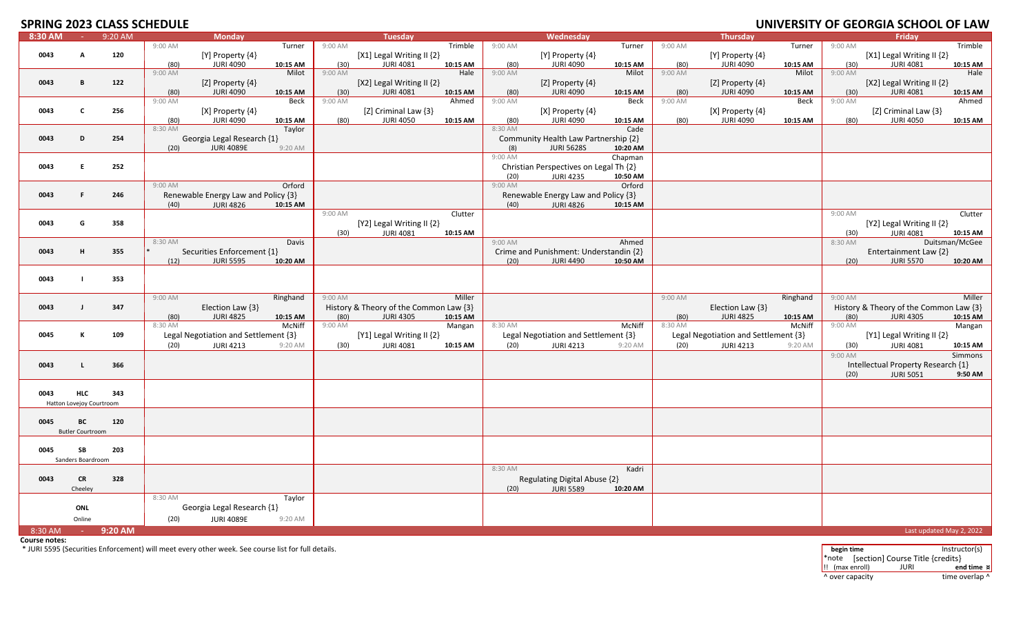# **SPRING 2023 CLASS SCHEDULE**

| JI INITU |                          | ---       | JVIILDVLL       |                                      |          |         |                                        |          |                 |                                        |          |         |                                      |          |         | ---                                    | יים וש         |
|----------|--------------------------|-----------|-----------------|--------------------------------------|----------|---------|----------------------------------------|----------|-----------------|----------------------------------------|----------|---------|--------------------------------------|----------|---------|----------------------------------------|----------------|
| 8:30 AM  | <b>College</b>           | 9:20 AM   |                 | <b>Monday</b>                        |          |         | <b>Tuesday</b>                         |          |                 | Wednesday                              |          |         | <b>Thursday</b>                      |          |         | <b>Friday</b>                          |                |
|          |                          |           | 9:00 AM         |                                      | Turner   | 9:00 AM |                                        | Trimble  | 9:00 AM         |                                        | Turner   | 9:00 AM |                                      | Turner   | 9:00 AM |                                        | Trimble        |
| 0043     | $\mathsf{A}$             | 120       |                 | [Y] Property {4}                     |          |         | [X1] Legal Writing II {2}              |          |                 | [Y] Property {4}                       |          |         | [Y] Property {4}                     |          |         | [X1] Legal Writing II {2}              |                |
|          |                          |           | (80)            | <b>JURI 4090</b>                     | 10:15 AM | (30)    | <b>JURI 4081</b>                       | 10:15 AM | (80)            | <b>JURI 4090</b>                       | 10:15 AM | (80)    | <b>JURI 4090</b>                     | 10:15 AM | (30)    | <b>JURI 4081</b>                       | 10:15 AM       |
|          |                          |           | 9:00 AM         |                                      | Milot    | 9:00 AM |                                        | Hale     | 9:00 AM         |                                        | Milot    | 9:00 AM |                                      | Milot    | 9:00 AM |                                        | Hale           |
| 0043     | B                        | 122       |                 | [Z] Property $\{4\}$                 |          |         | [X2] Legal Writing II {2}              |          |                 | [Z] Property $\{4\}$                   |          |         | [Z] Property {4}                     |          |         | [X2] Legal Writing II $\{2\}$          |                |
|          |                          |           | (80)            | <b>JURI 4090</b>                     | 10:15 AM | (30)    | <b>JURI 4081</b>                       | 10:15 AM | (80)            | <b>JURI 4090</b>                       | 10:15 AM | (80)    | <b>JURI 4090</b>                     | 10:15 AM | (30)    | <b>JURI 4081</b>                       | 10:15 AM       |
|          |                          |           | 9:00 AM         |                                      | Beck     | 9:00 AM |                                        | Ahmed    | 9:00 AM         |                                        | Beck     | 9:00 AM |                                      | Beck     | 9:00 AM |                                        | Ahmed          |
| 0043     | $\mathbf c$              | 256       |                 | $[X]$ Property $\{4\}$               |          |         | [Z] Criminal Law {3}                   |          |                 | [X] Property {4}                       |          |         | [X] Property {4}                     |          |         | [Z] Criminal Law {3}                   |                |
|          |                          |           |                 | <b>JURI 4090</b>                     | 10:15 AM | (80)    | <b>JURI 4050</b>                       | 10:15 AM |                 | <b>JURI 4090</b>                       | 10:15 AM |         |                                      | 10:15 AM |         |                                        | 10:15 AM       |
|          |                          |           | (80)<br>8:30 AM |                                      |          |         |                                        |          | (80)<br>8:30 AM |                                        |          | (80)    | <b>JURI 4090</b>                     |          | (80)    | <b>JURI 4050</b>                       |                |
|          |                          |           |                 |                                      | Taylor   |         |                                        |          |                 |                                        | Cade     |         |                                      |          |         |                                        |                |
| 0043     | D                        | 254       |                 | Georgia Legal Research {1}           |          |         |                                        |          |                 | Community Health Law Partnership {2}   |          |         |                                      |          |         |                                        |                |
|          |                          |           | (20)            | <b>JURI 4089E</b>                    | 9:20 AM  |         |                                        |          | (8)             | <b>JURI 5628S</b>                      | 10:20 AM |         |                                      |          |         |                                        |                |
|          |                          |           |                 |                                      |          |         |                                        |          | 9:00 AM         |                                        | Chapman  |         |                                      |          |         |                                        |                |
| 0043     | E                        | 252       |                 |                                      |          |         |                                        |          |                 | Christian Perspectives on Legal Th {2} |          |         |                                      |          |         |                                        |                |
|          |                          |           |                 |                                      |          |         |                                        |          | (20)            | <b>JURI 4235</b>                       | 10:50 AM |         |                                      |          |         |                                        |                |
|          |                          |           | 9:00 AM         |                                      | Orford   |         |                                        |          | 9:00 AM         |                                        | Orford   |         |                                      |          |         |                                        |                |
| 0043     | F                        | 246       |                 | Renewable Energy Law and Policy {3}  |          |         |                                        |          |                 | Renewable Energy Law and Policy {3}    |          |         |                                      |          |         |                                        |                |
|          |                          |           | (40)            | <b>JURI 4826</b>                     | 10:15 AM |         |                                        |          | (40)            | <b>JURI 4826</b>                       | 10:15 AM |         |                                      |          |         |                                        |                |
|          |                          |           |                 |                                      |          | 9:00 AM |                                        | Clutter  |                 |                                        |          |         |                                      |          | 9:00 AM |                                        | Clutter        |
|          |                          |           |                 |                                      |          |         |                                        |          |                 |                                        |          |         |                                      |          |         |                                        |                |
| 0043     | G                        | 358       |                 |                                      |          |         | [Y2] Legal Writing II {2}              |          |                 |                                        |          |         |                                      |          |         | [Y2] Legal Writing II {2}              |                |
|          |                          |           |                 |                                      |          | (30)    | <b>JURI 4081</b>                       | 10:15 AM |                 |                                        |          |         |                                      |          | (30)    | <b>JURI 4081</b>                       | 10:15 AM       |
|          |                          |           | 8:30 AM         |                                      | Davis    |         |                                        |          | $9:00$ AM       |                                        | Ahmed    |         |                                      |          | 8:30 AM |                                        | Duitsman/McGee |
| 0043     | H                        | 355       |                 | Securities Enforcement {1}           |          |         |                                        |          |                 | Crime and Punishment: Understandin {2} |          |         |                                      |          |         | Entertainment Law {2}                  |                |
|          |                          |           | (12)            | <b>JURI 5595</b>                     | 10:20 AM |         |                                        |          | (20)            | <b>JURI 4490</b>                       | 10:50 AM |         |                                      |          | (20)    | <b>JURI 5570</b>                       | 10:20 AM       |
|          |                          |           |                 |                                      |          |         |                                        |          |                 |                                        |          |         |                                      |          |         |                                        |                |
| 0043     |                          | 353       |                 |                                      |          |         |                                        |          |                 |                                        |          |         |                                      |          |         |                                        |                |
|          |                          |           |                 |                                      |          |         |                                        |          |                 |                                        |          |         |                                      |          |         |                                        |                |
|          |                          |           | 9:00 AM         |                                      | Ringhand | 9:00 AM |                                        | Miller   |                 |                                        |          | 9:00 AM |                                      | Ringhand | 9:00 AM |                                        | Miller         |
| 0043     | -1                       | 347       |                 | Election Law $\{3\}$                 |          |         | History & Theory of the Common Law {3} |          |                 |                                        |          |         | Election Law $\{3\}$                 |          |         | History & Theory of the Common Law {3} |                |
|          |                          |           | (80)            | <b>JURI 4825</b>                     | 10:15 AM | (80)    | <b>JURI 4305</b>                       | 10:15 AM |                 |                                        |          | (80)    | <b>JURI 4825</b>                     | 10:15 AM | (80)    | <b>JURI 4305</b>                       | 10:15 AM       |
|          |                          |           | 8:30 AM         |                                      | McNiff   | 9:00 AM |                                        | Mangan   | 8:30 AM         |                                        | McNiff   | 8:30 AM |                                      | McNiff   | 9:00 AM |                                        | Mangan         |
|          | к                        | 109       |                 |                                      |          |         |                                        |          |                 |                                        |          |         |                                      |          |         |                                        |                |
| 0045     |                          |           |                 | Legal Negotiation and Settlement {3} |          |         | [Y1] Legal Writing II {2}              |          |                 | Legal Negotiation and Settlement {3}   |          |         | Legal Negotiation and Settlement {3} |          |         | [Y1] Legal Writing II {2}              |                |
|          |                          |           | (20)            | <b>JURI 4213</b>                     | 9:20 AM  | (30)    | <b>JURI 4081</b>                       | 10:15 AM | (20)            | <b>JURI 4213</b>                       | 9:20 AM  | (20)    | <b>JURI 4213</b>                     | 9:20 AM  | (30)    | <b>JURI 4081</b>                       | 10:15 AM       |
|          |                          |           |                 |                                      |          |         |                                        |          |                 |                                        |          |         |                                      |          | 9:00 AM |                                        | Simmons        |
| 0043     | $\mathbf{L}$             | 366       |                 |                                      |          |         |                                        |          |                 |                                        |          |         |                                      |          |         | Intellectual Property Research {1}     |                |
|          |                          |           |                 |                                      |          |         |                                        |          |                 |                                        |          |         |                                      |          | (20)    | <b>JURI 5051</b>                       | 9:50 AM        |
|          |                          |           |                 |                                      |          |         |                                        |          |                 |                                        |          |         |                                      |          |         |                                        |                |
| 0043     | <b>HLC</b>               | 343       |                 |                                      |          |         |                                        |          |                 |                                        |          |         |                                      |          |         |                                        |                |
|          | Hatton Lovejoy Courtroom |           |                 |                                      |          |         |                                        |          |                 |                                        |          |         |                                      |          |         |                                        |                |
|          |                          |           |                 |                                      |          |         |                                        |          |                 |                                        |          |         |                                      |          |         |                                        |                |
| 0045     | ВC                       | 120       |                 |                                      |          |         |                                        |          |                 |                                        |          |         |                                      |          |         |                                        |                |
|          |                          |           |                 |                                      |          |         |                                        |          |                 |                                        |          |         |                                      |          |         |                                        |                |
|          | <b>Butler Courtroom</b>  |           |                 |                                      |          |         |                                        |          |                 |                                        |          |         |                                      |          |         |                                        |                |
|          |                          |           |                 |                                      |          |         |                                        |          |                 |                                        |          |         |                                      |          |         |                                        |                |
| 0045     | SB                       | 203       |                 |                                      |          |         |                                        |          |                 |                                        |          |         |                                      |          |         |                                        |                |
|          | Sanders Boardroom        |           |                 |                                      |          |         |                                        |          |                 |                                        |          |         |                                      |          |         |                                        |                |
|          |                          |           |                 |                                      |          |         |                                        |          | 8:30 AM         |                                        | Kadri    |         |                                      |          |         |                                        |                |
| 0043     | <b>CR</b>                | 328       |                 |                                      |          |         |                                        |          |                 | Regulating Digital Abuse {2}           |          |         |                                      |          |         |                                        |                |
|          | Cheeley                  |           |                 |                                      |          |         |                                        |          | (20)            | <b>JURI 5589</b>                       | 10:20 AM |         |                                      |          |         |                                        |                |
|          |                          |           | 8:30 AM         |                                      | Taylor   |         |                                        |          |                 |                                        |          |         |                                      |          |         |                                        |                |
|          | ONL                      |           |                 | Georgia Legal Research {1}           |          |         |                                        |          |                 |                                        |          |         |                                      |          |         |                                        |                |
|          |                          |           |                 |                                      |          |         |                                        |          |                 |                                        |          |         |                                      |          |         |                                        |                |
|          | Online                   |           | (20)            | <b>JURI 4089E</b>                    | 9:20 AM  |         |                                        |          |                 |                                        |          |         |                                      |          |         |                                        |                |
| 8:30 AM  | $\sim 10$                | $9:20$ AM |                 |                                      |          |         |                                        |          |                 |                                        |          |         |                                      |          |         | Last updated May 2, 2022               |                |

**Course notes:**

\* JURI 5595 (Securities Enforcement) will meet every other week. See course list for full details. **begin time** Instructor(s)

\*note [section] Course Title {credits} !! (max enroll) JURI **end time ¤** ^ over capacity  $\bullet$  time overlap ^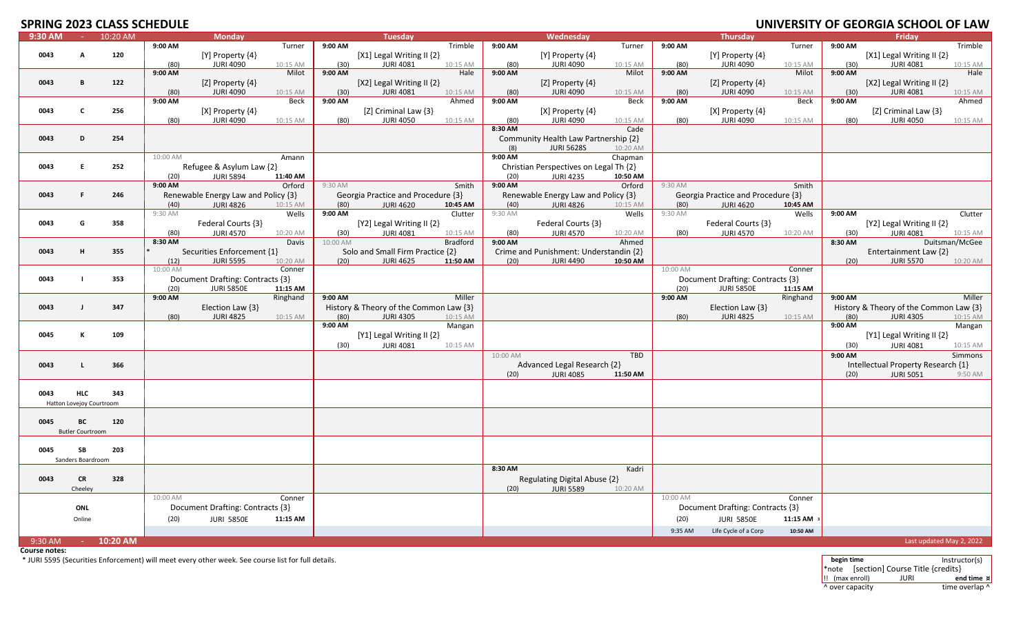# **SPRING 2023 CLASS SCHEDULE**

| 9:30 AM | $\sim$                   | 10:20 AM |          | <b>Monday</b>                       |          |          | <b>Tuesday</b>                         |                 |                 | Wednesday                              |                  |          | <b>Thursday</b>                      |          |         | Friday                                 |                          |
|---------|--------------------------|----------|----------|-------------------------------------|----------|----------|----------------------------------------|-----------------|-----------------|----------------------------------------|------------------|----------|--------------------------------------|----------|---------|----------------------------------------|--------------------------|
|         |                          |          | 9:00 AM  |                                     | Turner   | 9:00 AM  |                                        | Trimble         | 9:00 AM         |                                        | Turner           | 9:00 AM  |                                      | Turner   | 9:00 AM |                                        | Trimble                  |
| 0043    | A                        | 120      |          | [Y] Property {4}                    |          |          | [X1] Legal Writing II {2}              |                 |                 | [Y] Property {4}                       |                  |          | [Y] Property {4}                     |          |         | [X1] Legal Writing II {2}              |                          |
|         |                          |          | (80)     | <b>JURI 4090</b>                    | 10:15 AM | (30)     | <b>JURI 4081</b>                       | 10:15 AM        | (80)            | <b>JURI 4090</b>                       | 10:15 AM         | (80)     | <b>JURI 4090</b>                     | 10:15 AM | (30)    | <b>JURI 4081</b>                       | 10:15 AM                 |
|         |                          |          | 9:00 AM  |                                     | Milot    | 9:00 AM  |                                        | Hale            | 9:00 AM         |                                        | Milot            | 9:00 AM  |                                      | Milot    | 9:00 AM |                                        | Hale                     |
| 0043    | $\mathbf{B}$             | 122      |          | [Z] Property $\{4\}$                |          |          | [X2] Legal Writing II {2}              |                 |                 |                                        |                  |          |                                      |          |         | [X2] Legal Writing II {2}              |                          |
|         |                          |          | (80)     | <b>JURI 4090</b>                    | 10:15 AM | (30)     | <b>JURI 4081</b>                       | 10:15 AM        | (80)            | [Z] Property {4}<br><b>JURI 4090</b>   | 10:15 AM         | (80)     | [Z] Property {4}<br><b>JURI 4090</b> | 10:15 AM | (30)    | <b>JURI 4081</b>                       | 10:15 AM                 |
|         |                          |          | 9:00 AM  |                                     | Beck     | 9:00 AM  |                                        | Ahmed           | 9:00 AM         |                                        | <b>Beck</b>      | 9:00 AM  |                                      | Beck     | 9:00 AM |                                        | Ahmed                    |
|         |                          |          |          |                                     |          |          |                                        |                 |                 |                                        |                  |          |                                      |          |         |                                        |                          |
| 0043    | $\mathbf c$              | 256      |          | [X] Property $\{4\}$                |          |          | [Z] Criminal Law {3}                   |                 |                 | $[X]$ Property $\{4\}$                 |                  |          | [X] Property {4}                     |          |         | [Z] Criminal Law {3}                   |                          |
|         |                          |          | (80)     | <b>JURI 4090</b>                    | 10:15 AM | (80)     | <b>JURI 4050</b>                       | 10:15 AM        | (80)<br>8:30 AM | <b>JURI 4090</b>                       | 10:15 AM<br>Cade | (80)     | <b>JURI 4090</b>                     | 10:15 AM | (80)    | <b>JURI 4050</b>                       | 10:15 AM                 |
|         |                          |          |          |                                     |          |          |                                        |                 |                 |                                        |                  |          |                                      |          |         |                                        |                          |
| 0043    | D                        | 254      |          |                                     |          |          |                                        |                 |                 | Community Health Law Partnership {2}   |                  |          |                                      |          |         |                                        |                          |
|         |                          |          |          |                                     |          |          |                                        |                 | (8)             | <b>JURI 5628S</b>                      | 10:20 AM         |          |                                      |          |         |                                        |                          |
|         |                          |          | 10:00 AM |                                     | Amann    |          |                                        |                 | 9:00 AM         |                                        | Chapman          |          |                                      |          |         |                                        |                          |
| 0043    | E                        | 252      |          | Refugee & Asylum Law {2}            |          |          |                                        |                 |                 | Christian Perspectives on Legal Th {2} |                  |          |                                      |          |         |                                        |                          |
|         |                          |          | (20)     | <b>JURI 5894</b>                    | 11:40 AM |          |                                        |                 | (20)            | <b>JURI 4235</b>                       | 10:50 AM         |          |                                      |          |         |                                        |                          |
|         |                          |          | 9:00 AM  |                                     | Orford   | 9:30 AM  |                                        | Smith           | 9:00 AM         |                                        | Orford           | 9:30 AM  |                                      | Smith    |         |                                        |                          |
| 0043    | F                        | 246      |          | Renewable Energy Law and Policy {3} |          |          | Georgia Practice and Procedure {3}     |                 |                 | Renewable Energy Law and Policy {3}    |                  |          | Georgia Practice and Procedure {3}   |          |         |                                        |                          |
|         |                          |          | (40)     | <b>JURI 4826</b>                    | 10:15 AM | (80)     | <b>JURI 4620</b>                       | 10:45 AM        | (40)            | <b>JURI 4826</b>                       | 10:15 AM         | (80)     | <b>JURI 4620</b>                     | 10:45 AM |         |                                        |                          |
|         |                          |          | 9:30 AM  |                                     | Wells    | 9:00 AM  |                                        | Clutter         | 9:30 AM         |                                        | Wells            | 9:30 AM  |                                      | Wells    | 9:00 AM |                                        | Clutter                  |
| 0043    | G                        | 358      |          | Federal Courts {3}                  |          |          | [Y2] Legal Writing II $\{2\}$          |                 |                 | Federal Courts {3}                     |                  |          | Federal Courts {3}                   |          |         | [Y2] Legal Writing II {2}              |                          |
|         |                          |          | (80)     | <b>JURI 4570</b>                    | 10:20 AM | (30)     | <b>JURI 4081</b>                       | 10:15 AM        | (80)            | <b>JURI 4570</b>                       | 10:20 AM         | (80)     | <b>JURI 4570</b>                     | 10:20 AM | (30)    | <b>JURI 4081</b>                       | 10:15 AM                 |
|         |                          |          | 8:30 AM  |                                     | Davis    | 10:00 AM |                                        | <b>Bradford</b> | 9:00 AM         |                                        | Ahmed            |          |                                      |          | 8:30 AM |                                        | Duitsman/McGee           |
| 0043    | H                        | 355      |          | Securities Enforcement {1}          |          |          | Solo and Small Firm Practice {2}       |                 |                 | Crime and Punishment: Understandin {2} |                  |          |                                      |          |         | Entertainment Law {2}                  |                          |
|         |                          |          | (12)     | <b>JURI 5595</b>                    | 10:20 AM | (20)     | <b>JURI 4625</b>                       | 11:50 AM        | (20)            | <b>JURI 4490</b>                       | 10:50 AM         |          |                                      |          | (20)    | <b>JURI 5570</b>                       | 10:20 AM                 |
|         |                          |          | 10:00 AM |                                     | Conner   |          |                                        |                 |                 |                                        |                  | 10:00 AM |                                      | Conner   |         |                                        |                          |
| 0043    |                          | 353      |          | Document Drafting: Contracts {3}    |          |          |                                        |                 |                 |                                        |                  |          | Document Drafting: Contracts {3}     |          |         |                                        |                          |
|         |                          |          | (20)     | <b>JURI 5850E</b>                   | 11:15 AM |          |                                        |                 |                 |                                        |                  | (20)     | <b>JURI 5850E</b>                    | 11:15 AM |         |                                        |                          |
|         |                          |          | 9:00 AM  |                                     | Ringhand | 9:00 AM  |                                        | Miller          |                 |                                        |                  | 9:00 AM  |                                      | Ringhand | 9:00 AM |                                        | Miller                   |
| 0043    | $\mathbf{I}$             | 347      |          | Election Law {3}                    |          |          | History & Theory of the Common Law {3} |                 |                 |                                        |                  |          | Election Law {3}                     |          |         | History & Theory of the Common Law {3} |                          |
|         |                          |          | (80)     | <b>JURI 4825</b>                    | 10:15 AM | (80)     | <b>JURI 4305</b>                       | 10:15 AM        |                 |                                        |                  | (80)     | <b>JURI 4825</b>                     | 10:15 AM | (80)    | <b>JURI 4305</b>                       | 10:15 AM                 |
|         |                          |          |          |                                     |          | 9:00 AM  |                                        | Mangan          |                 |                                        |                  |          |                                      |          | 9:00 AM |                                        | Mangan                   |
| 0045    | К                        | 109      |          |                                     |          |          | [Y1] Legal Writing II $\{2\}$          |                 |                 |                                        |                  |          |                                      |          |         | [Y1] Legal Writing II {2}              |                          |
|         |                          |          |          |                                     |          | (30)     | <b>JURI 4081</b>                       | 10:15 AM        |                 |                                        |                  |          |                                      |          | (30)    | <b>JURI 4081</b>                       | 10:15 AM                 |
|         |                          |          |          |                                     |          |          |                                        |                 | 10:00 AM        |                                        | TBD              |          |                                      |          | 9:00 AM |                                        | Simmons                  |
| 0043    | л.                       | 366      |          |                                     |          |          |                                        |                 |                 | Advanced Legal Research {2}            |                  |          |                                      |          |         | Intellectual Property Research {1}     |                          |
|         |                          |          |          |                                     |          |          |                                        |                 | (20)            | <b>JURI 4085</b>                       | 11:50 AM         |          |                                      |          | (20)    | <b>JURI 5051</b>                       | 9:50 AM                  |
|         |                          |          |          |                                     |          |          |                                        |                 |                 |                                        |                  |          |                                      |          |         |                                        |                          |
| 0043    | <b>HLC</b>               | 343      |          |                                     |          |          |                                        |                 |                 |                                        |                  |          |                                      |          |         |                                        |                          |
|         | Hatton Lovejoy Courtroom |          |          |                                     |          |          |                                        |                 |                 |                                        |                  |          |                                      |          |         |                                        |                          |
|         |                          |          |          |                                     |          |          |                                        |                 |                 |                                        |                  |          |                                      |          |         |                                        |                          |
| 0045    | ВC                       | 120      |          |                                     |          |          |                                        |                 |                 |                                        |                  |          |                                      |          |         |                                        |                          |
|         | <b>Butler Courtroom</b>  |          |          |                                     |          |          |                                        |                 |                 |                                        |                  |          |                                      |          |         |                                        |                          |
|         |                          |          |          |                                     |          |          |                                        |                 |                 |                                        |                  |          |                                      |          |         |                                        |                          |
| 0045    | SB                       | 203      |          |                                     |          |          |                                        |                 |                 |                                        |                  |          |                                      |          |         |                                        |                          |
|         | Sanders Boardroom        |          |          |                                     |          |          |                                        |                 |                 |                                        |                  |          |                                      |          |         |                                        |                          |
|         |                          |          |          |                                     |          |          |                                        |                 | 8:30 AM         |                                        | Kadri            |          |                                      |          |         |                                        |                          |
| 0043    | <b>CR</b>                | 328      |          |                                     |          |          |                                        |                 |                 | Regulating Digital Abuse {2}           |                  |          |                                      |          |         |                                        |                          |
|         | Cheeley                  |          |          |                                     |          |          |                                        |                 | (20)            | <b>JURI 5589</b>                       | 10:20 AM         |          |                                      |          |         |                                        |                          |
|         |                          |          | 10:00 AM |                                     | Conner   |          |                                        |                 |                 |                                        |                  | 10:00 AM |                                      | Conner   |         |                                        |                          |
|         | ONL                      |          |          | Document Drafting: Contracts {3}    |          |          |                                        |                 |                 |                                        |                  |          | Document Drafting: Contracts {3}     |          |         |                                        |                          |
|         | Online                   |          | (20)     | <b>JURI 5850E</b>                   | 11:15 AM |          |                                        |                 |                 |                                        |                  | (20)     | <b>JURI 5850E</b>                    | 11:15 AM |         |                                        |                          |
|         |                          |          |          |                                     |          |          |                                        |                 |                 |                                        |                  |          |                                      |          |         |                                        |                          |
|         |                          |          |          |                                     |          |          |                                        |                 |                 |                                        |                  | 9:35 AM  | Life Cycle of a Corp                 | 10:50 AM |         |                                        |                          |
| 9:30 AM | $\sim 100$               | 10:20 AM |          |                                     |          |          |                                        |                 |                 |                                        |                  |          |                                      |          |         |                                        | Last updated May 2, 2022 |

**Course notes:**

\* JURI 5595 (Securities Enforcement) will meet every other week. See course list for full details. **begin time** Instructor(s)

\*note [section] Course Title {credits} !! (max enroll) JURI **end time ¤** ^ over capacity  $\hspace{1cm}$  time overlap ^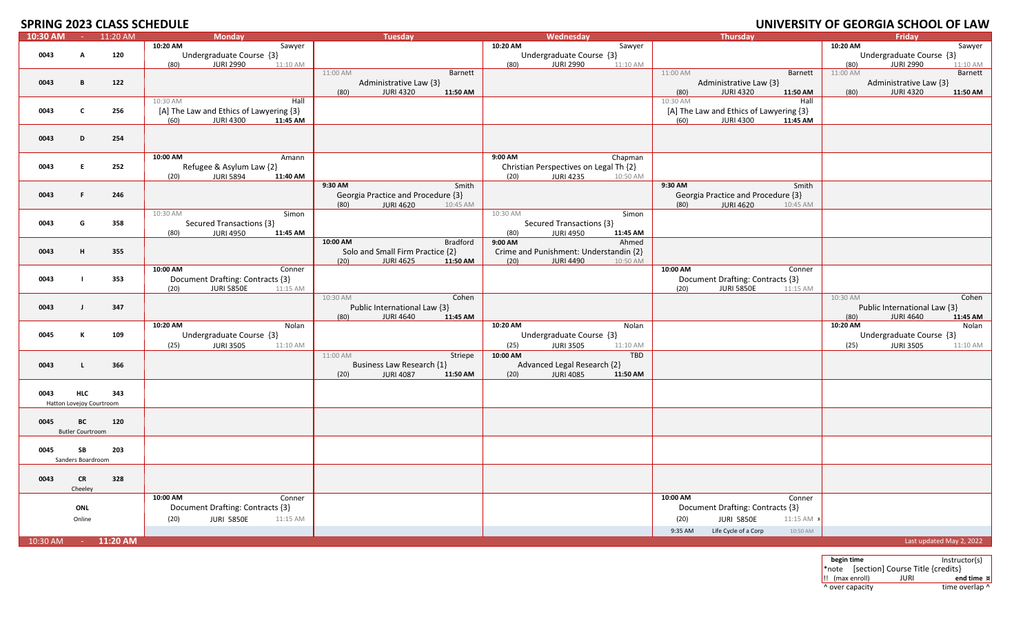# **2023 CLASS SCHEDULE UNIVERSITY OF GEORGIA SCHOOL OF LAW**

| 10:30 AM | <b>Common</b>            | 11:20 AM | <b>Monday</b>                           | <b>Tuesday</b>                                                       | Wednesday                              | <b>Thursday</b>                             | Friday                                                               |
|----------|--------------------------|----------|-----------------------------------------|----------------------------------------------------------------------|----------------------------------------|---------------------------------------------|----------------------------------------------------------------------|
|          |                          |          | 10:20 AM<br>Sawyer                      |                                                                      | 10:20 AM<br>Sawyer                     |                                             | $10:20$ AM<br>Sawyer                                                 |
| 0043     | A                        | 120      | Undergraduate Course {3}                |                                                                      | Undergraduate Course {3}               |                                             | Undergraduate Course {3}                                             |
|          |                          |          | <b>JURI 2990</b><br>(80)<br>11:10 AM    |                                                                      | <b>JURI 2990</b><br>11:10 AM<br>(80)   |                                             | <b>JURI 2990</b><br>(80)<br>11:10 AM                                 |
|          |                          |          |                                         | 11:00 AM<br>Barnett                                                  |                                        | 11:00 AM<br><b>Barnett</b>                  | 11:00 AM<br>Barnett                                                  |
| 0043     | B                        | 122      |                                         | Administrative Law {3}                                               |                                        | Administrative Law {3}                      | Administrative Law {3}                                               |
|          |                          |          |                                         | (80)<br><b>JURI 4320</b><br>11:50 AM                                 |                                        | <b>JURI 4320</b><br>(80)<br>11:50 AM        | <b>JURI 4320</b><br>(80)<br>11:50 AM                                 |
|          |                          |          | Hall<br>10:30 AM                        |                                                                      |                                        | 10:30 AM<br>Hall                            |                                                                      |
| 0043     | C                        | 256      | [A] The Law and Ethics of Lawyering {3} |                                                                      |                                        | [A] The Law and Ethics of Lawyering {3}     |                                                                      |
|          |                          |          | (60)<br><b>JURI 4300</b><br>11:45 AM    |                                                                      |                                        | (60)<br><b>JURI 4300</b><br>11:45 AM        |                                                                      |
|          |                          |          |                                         |                                                                      |                                        |                                             |                                                                      |
| 0043     | D                        | 254      |                                         |                                                                      |                                        |                                             |                                                                      |
|          |                          |          |                                         |                                                                      |                                        |                                             |                                                                      |
|          |                          |          | 10:00 AM<br>Amann                       |                                                                      | 9:00 AM<br>Chapman                     |                                             |                                                                      |
| 0043     | Е.                       | 252      | Refugee & Asylum Law {2}                |                                                                      | Christian Perspectives on Legal Th {2} |                                             |                                                                      |
|          |                          |          | <b>JURI 5894</b><br>11:40 AM<br>(20)    |                                                                      | (20)<br><b>JURI 4235</b><br>10:50 AM   |                                             |                                                                      |
|          |                          |          |                                         | 9:30 AM<br>Smith                                                     |                                        | 9:30 AM<br>Smith                            |                                                                      |
| 0043     | F                        | 246      |                                         | Georgia Practice and Procedure {3}                                   |                                        | Georgia Practice and Procedure {3}          |                                                                      |
|          |                          |          |                                         | (80)<br><b>JURI 4620</b><br>10:45 AM                                 |                                        | (80)<br><b>JURI 4620</b><br>10:45 AM        |                                                                      |
|          |                          |          | 10:30 AM<br>Simon                       |                                                                      | 10:30 AM<br>Simon                      |                                             |                                                                      |
| 0043     | G                        | 358      | Secured Transactions {3}                |                                                                      | Secured Transactions {3}               |                                             |                                                                      |
|          |                          |          | <b>JURI 4950</b><br>(80)<br>11:45 AM    |                                                                      | <b>JURI 4950</b><br>(80)<br>11:45 AM   |                                             |                                                                      |
|          |                          |          |                                         | 10:00 AM<br><b>Bradford</b>                                          | 9:00 AM<br>Ahmed                       |                                             |                                                                      |
| 0043     | н.                       | 355      |                                         | Solo and Small Firm Practice {2}                                     | Crime and Punishment: Understandin {2} |                                             |                                                                      |
|          |                          |          |                                         | <b>JURI 4625</b><br>(20)<br>11:50 AM                                 | <b>JURI 4490</b><br>(20)<br>10:50 AM   |                                             |                                                                      |
|          |                          |          | 10:00 AM<br>Conner                      |                                                                      |                                        | 10:00 AM<br>Conner                          |                                                                      |
| 0043     |                          | 353      | Document Drafting: Contracts {3}        |                                                                      |                                        | Document Drafting: Contracts {3}            |                                                                      |
|          |                          |          | <b>JURI 5850E</b><br>(20)<br>11:15 AM   | 10:30 AM<br>Cohen                                                    |                                        | <b>JURI 5850E</b><br>(20)<br>11:15 AM       | 10:30 AM<br>Cohen                                                    |
| 0043     | $\mathbf{I}$             | 347      |                                         |                                                                      |                                        |                                             |                                                                      |
|          |                          |          |                                         | Public International Law {3}<br><b>JURI 4640</b><br>(80)<br>11:45 AM |                                        |                                             | Public International Law {3}<br><b>JURI 4640</b><br>(80)<br>11:45 AM |
|          |                          |          | 10:20 AM<br>Nolan                       |                                                                      | 10:20 AM<br>Nolan                      |                                             | 10:20 AM<br>Nolan                                                    |
| 0045     | К                        | 109      | Undergraduate Course {3}                |                                                                      | Undergraduate Course {3}               |                                             | Undergraduate Course {3}                                             |
|          |                          |          | <b>JURI 3505</b><br>(25)<br>11:10 AM    |                                                                      | (25)<br><b>JURI 3505</b><br>11:10 AM   |                                             | <b>JURI 3505</b><br>(25)<br>11:10 AM                                 |
|          |                          |          |                                         | 11:00 AM<br>Striepe                                                  | 10:00 AM<br><b>TBD</b>                 |                                             |                                                                      |
| 0043     | L.                       | 366      |                                         | Business Law Research {1}                                            | Advanced Legal Research {2}            |                                             |                                                                      |
|          |                          |          |                                         | 11:50 AM<br>(20)<br><b>JURI 4087</b>                                 | <b>JURI 4085</b><br>(20)<br>11:50 AM   |                                             |                                                                      |
|          |                          |          |                                         |                                                                      |                                        |                                             |                                                                      |
| 0043     | <b>HLC</b>               | 343      |                                         |                                                                      |                                        |                                             |                                                                      |
|          | Hatton Lovejoy Courtroom |          |                                         |                                                                      |                                        |                                             |                                                                      |
|          |                          |          |                                         |                                                                      |                                        |                                             |                                                                      |
| 0045     | ВC                       | 120      |                                         |                                                                      |                                        |                                             |                                                                      |
|          | <b>Butler Courtroom</b>  |          |                                         |                                                                      |                                        |                                             |                                                                      |
|          |                          |          |                                         |                                                                      |                                        |                                             |                                                                      |
| 0045     | SB                       | 203      |                                         |                                                                      |                                        |                                             |                                                                      |
|          | Sanders Boardroom        |          |                                         |                                                                      |                                        |                                             |                                                                      |
|          |                          |          |                                         |                                                                      |                                        |                                             |                                                                      |
| 0043     | <b>CR</b>                | 328      |                                         |                                                                      |                                        |                                             |                                                                      |
|          | Cheeley                  |          |                                         |                                                                      |                                        |                                             |                                                                      |
|          |                          |          | 10:00 AM<br>Conner                      |                                                                      |                                        | Conner<br>10:00 AM                          |                                                                      |
|          | ONL                      |          | Document Drafting: Contracts {3}        |                                                                      |                                        | Document Drafting: Contracts {3}            |                                                                      |
|          | Online                   |          | <b>JURI 5850E</b><br>(20)<br>11:15 AM   |                                                                      |                                        | (20)<br><b>JURI 5850E</b><br>11:15 AM 3     |                                                                      |
|          |                          |          |                                         |                                                                      |                                        | 10:50 AM<br>9:35 AM<br>Life Cycle of a Corp |                                                                      |
| 10:30 AM | <b>Common</b>            | 11:20 AM |                                         |                                                                      |                                        |                                             | Last updated May 2, 2022                                             |
|          |                          |          |                                         |                                                                      |                                        |                                             |                                                                      |

**begin time** Instructor(s) \*note [section] Course Title {credits} !! (max enroll) JURI **end time ¤** ^ over capacity  $\hspace{1cm}$  time overlap ^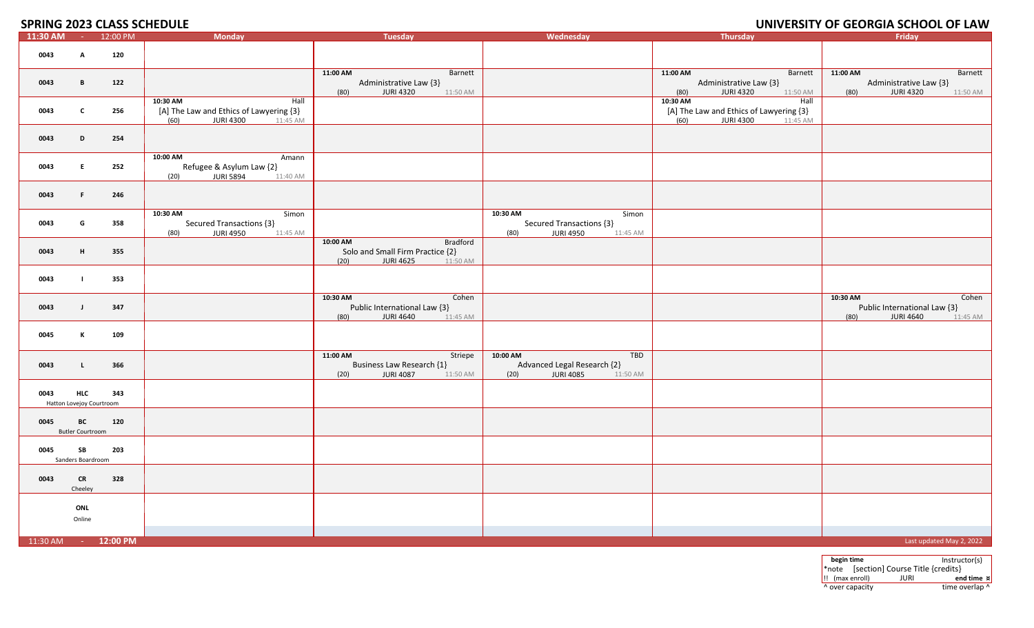### **2023 CLASS SCHEDULE UNIVERSITY OF GEORGIA SCHOOL OF LAW**

| 11:30 AM            | <b>College</b>                         | 12:00 PM | <b>Monday</b>                                                                                       | <b>Tuesday</b>                                                                                   | Wednesday                                                                                     | <b>Thursday</b>                                                                                     | -------------<br>Friday                                                                   |
|---------------------|----------------------------------------|----------|-----------------------------------------------------------------------------------------------------|--------------------------------------------------------------------------------------------------|-----------------------------------------------------------------------------------------------|-----------------------------------------------------------------------------------------------------|-------------------------------------------------------------------------------------------|
| 0043                | A                                      | 120      |                                                                                                     |                                                                                                  |                                                                                               |                                                                                                     |                                                                                           |
| 0043                | B                                      | 122      |                                                                                                     | 11:00 AM<br>Barnett<br>Administrative Law {3}<br><b>JURI 4320</b><br>(80)<br>11:50 AM            |                                                                                               | 11:00 AM<br>Barnett<br>Administrative Law {3}<br><b>JURI 4320</b><br>(80)<br>11:50 AM               | 11:00 AM<br>Barnett<br>Administrative Law {3}<br><b>JURI 4320</b><br>(80)<br>11:50 AM     |
| 0043                | $\mathbf{c}$                           | 256      | Hall<br>10:30 AM<br>[A] The Law and Ethics of Lawyering {3}<br><b>JURI 4300</b><br>(60)<br>11:45 AM |                                                                                                  |                                                                                               | 10:30 AM<br>Hall<br>[A] The Law and Ethics of Lawyering {3}<br>(60)<br><b>JURI 4300</b><br>11:45 AM |                                                                                           |
| 0043                | D                                      | 254      |                                                                                                     |                                                                                                  |                                                                                               |                                                                                                     |                                                                                           |
| 0043                | E.                                     | 252      | 10:00 AM<br>Amann<br>Refugee & Asylum Law {2}<br><b>JURI 5894</b><br>(20)<br>11:40 AM               |                                                                                                  |                                                                                               |                                                                                                     |                                                                                           |
| 0043                | F.                                     | 246      |                                                                                                     |                                                                                                  |                                                                                               |                                                                                                     |                                                                                           |
| 0043                | G                                      | 358      | 10:30 AM<br>Simon<br>Secured Transactions {3}<br><b>JURI 4950</b><br>(80)<br>11:45 AM               |                                                                                                  | 10:30 AM<br>Simon<br>Secured Transactions {3}<br><b>JURI 4950</b><br>(80)<br>11:45 AM         |                                                                                                     |                                                                                           |
| 0043                | H.                                     | 355      |                                                                                                     | 10:00 AM<br>Bradford<br>Solo and Small Firm Practice {2}<br><b>JURI 4625</b><br>(20)<br>11:50 AM |                                                                                               |                                                                                                     |                                                                                           |
| 0043                | л.                                     | 353      |                                                                                                     |                                                                                                  |                                                                                               |                                                                                                     |                                                                                           |
| 0043                | $\mathbf{J}$                           | 347      |                                                                                                     | 10:30 AM<br>Cohen<br>Public International Law {3}<br><b>JURI 4640</b><br>(80)<br>11:45 AM        |                                                                                               |                                                                                                     | 10:30 AM<br>Cohen<br>Public International Law {3}<br><b>JURI 4640</b><br>(80)<br>11:45 AM |
| 0045                | K                                      | 109      |                                                                                                     |                                                                                                  |                                                                                               |                                                                                                     |                                                                                           |
| 0043                | $\mathbf{L}$                           | 366      |                                                                                                     | 11:00 AM<br>Striepe<br>Business Law Research {1}<br>(20)<br><b>JURI 4087</b><br>11:50 AM         | 10:00 AM<br><b>TBD</b><br>Advanced Legal Research {2}<br>(20)<br><b>JURI 4085</b><br>11:50 AM |                                                                                                     |                                                                                           |
| 0043                | <b>HLC</b><br>Hatton Lovejoy Courtroom | 343      |                                                                                                     |                                                                                                  |                                                                                               |                                                                                                     |                                                                                           |
| 0045                | BC<br><b>Butler Courtroom</b>          | 120      |                                                                                                     |                                                                                                  |                                                                                               |                                                                                                     |                                                                                           |
| 0045                | SB<br>Sanders Boardroom                | 203      |                                                                                                     |                                                                                                  |                                                                                               |                                                                                                     |                                                                                           |
| 0043                | ${\sf CR}$<br>Cheeley                  | 328      |                                                                                                     |                                                                                                  |                                                                                               |                                                                                                     |                                                                                           |
|                     | ONL<br>Online                          |          |                                                                                                     |                                                                                                  |                                                                                               |                                                                                                     |                                                                                           |
| 11:30 AM - 12:00 PM |                                        |          |                                                                                                     |                                                                                                  |                                                                                               |                                                                                                     | Last updated May 2, 2022                                                                  |
|                     |                                        |          |                                                                                                     |                                                                                                  |                                                                                               |                                                                                                     |                                                                                           |

**begin time** Instructor(s) \*note [section] Course Title {credits} !! (max enroll) JURI **end time ¤** ^ over capacity  $\hspace{1cm}$  time overlap ^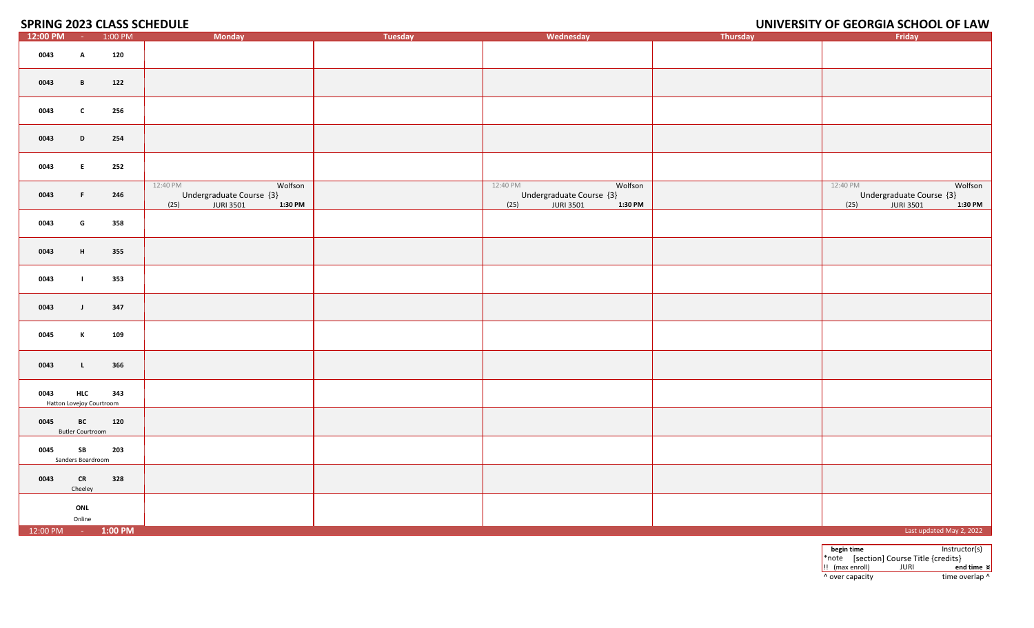#### **2023 CLASS SCHEDULE UNIVERSITY OF GEORGIA SCHOOL OF LAW**

| 12:00 PM             |                                        | ---- -- -- -<br>$- 1:00$ PM | ----- ---<br>Monday                                                              | Tuesday | Wednesday<br>$\mathcal{L}^{\text{max}}_{\text{max}}$ and $\mathcal{L}^{\text{max}}_{\text{max}}$ and $\mathcal{L}^{\text{max}}_{\text{max}}$ | -------<br>Thursday | - - --- - - -<br>. <del>.</del><br>Friday                                        |
|----------------------|----------------------------------------|-----------------------------|----------------------------------------------------------------------------------|---------|----------------------------------------------------------------------------------------------------------------------------------------------|---------------------|----------------------------------------------------------------------------------|
| 0043                 | $\mathsf{A}$                           | 120                         |                                                                                  |         |                                                                                                                                              |                     |                                                                                  |
| 0043                 | $\mathbf{B}$                           | 122                         |                                                                                  |         |                                                                                                                                              |                     |                                                                                  |
| 0043                 | $\mathbf{c}$                           | 256                         |                                                                                  |         |                                                                                                                                              |                     |                                                                                  |
| 0043                 | $\mathsf{D}$                           | 254                         |                                                                                  |         |                                                                                                                                              |                     |                                                                                  |
| 0043                 | E                                      | 252                         |                                                                                  |         |                                                                                                                                              |                     |                                                                                  |
| 0043                 | F.                                     | 246                         | Wolfson<br>12:40 PM<br>Undergraduate Course {3}<br>URI 3501<br>(25)<br>$1:30$ PM |         | 12:40 PM<br>Wolfson<br>Undergraduate Course {3}<br>1 JURI 3501 1<br>(25)<br>$1:30$ PM                                                        |                     | 12:40 PM<br>Wolfson<br>Undergraduate Course {3}<br>URI 3501<br>(25)<br>$1:30$ PM |
| 0043                 | G                                      | 358                         |                                                                                  |         |                                                                                                                                              |                     |                                                                                  |
| 0043                 | $\mathbf{H}^-$                         | 355                         |                                                                                  |         |                                                                                                                                              |                     |                                                                                  |
| 0043                 | $\mathbf{I}$                           | 353                         |                                                                                  |         |                                                                                                                                              |                     |                                                                                  |
| 0043                 | $\mathbf{J}$                           | 347                         |                                                                                  |         |                                                                                                                                              |                     |                                                                                  |
| 0045                 | $\mathbf{K}$                           | 109                         |                                                                                  |         |                                                                                                                                              |                     |                                                                                  |
| 0043                 | $\mathbf{L}$ .                         | 366                         |                                                                                  |         |                                                                                                                                              |                     |                                                                                  |
| 0043                 | <b>HLC</b><br>Hatton Lovejoy Courtroom | 343                         |                                                                                  |         |                                                                                                                                              |                     |                                                                                  |
| 0045                 | BC<br><b>Butler Courtroom</b>          | 120                         |                                                                                  |         |                                                                                                                                              |                     |                                                                                  |
| 0045                 | ${\sf SB}$<br>Sanders Boardroom        | 203                         |                                                                                  |         |                                                                                                                                              |                     |                                                                                  |
| 0043                 | ${\sf CR}$<br>Cheeley                  | 328                         |                                                                                  |         |                                                                                                                                              |                     |                                                                                  |
|                      | ONL<br>Online                          |                             |                                                                                  |         |                                                                                                                                              |                     |                                                                                  |
| $12:00 \text{ PM}$ - |                                        | 1:00 PM                     |                                                                                  |         |                                                                                                                                              |                     | Last updated May 2, 2022                                                         |

**begin time** lnstructor(s)<br>| note lation course Title {credits}\* !! (max enroll) JURI **end time ¤** ^ over capacity  $\bullet$  time overlap ^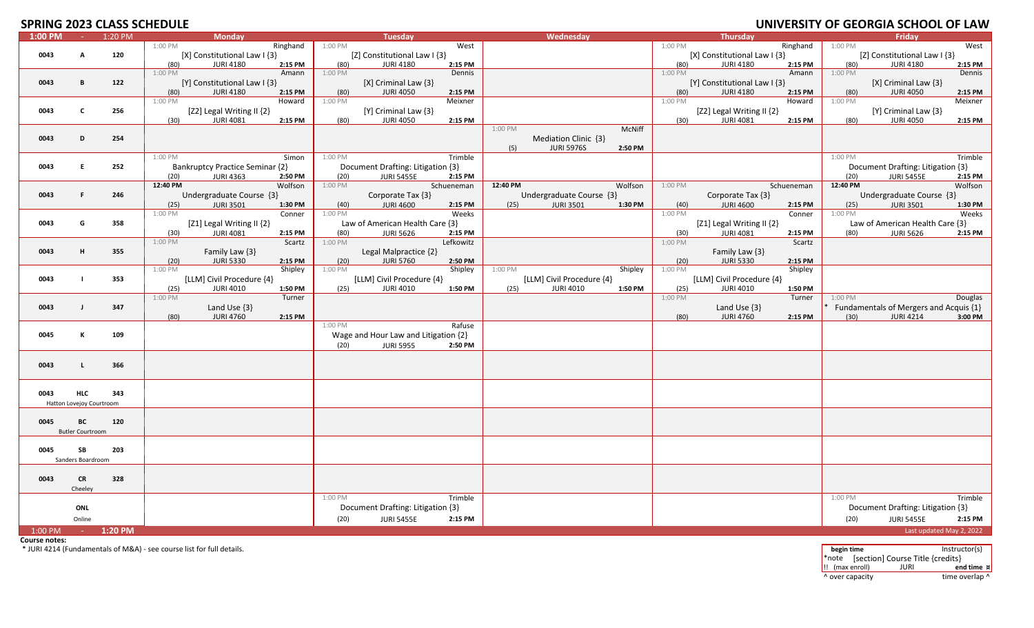# **SPRING 2023 CLASS SCHEDULE**

|         |                          |         |          |                                 |          |         |                                      |            |          |                           |               |         |                              | ----------------- |          |                                        |         |
|---------|--------------------------|---------|----------|---------------------------------|----------|---------|--------------------------------------|------------|----------|---------------------------|---------------|---------|------------------------------|-------------------|----------|----------------------------------------|---------|
| 1:00 PM | <b>Card</b>              | 1:20 PM |          | <b>Monday</b>                   |          |         | Tuesday                              |            |          | Wednesday                 |               |         | Thursday                     |                   |          | Friday                                 |         |
|         |                          |         | 1:00 PM  |                                 | Ringhand | 1:00 PM |                                      | West       |          |                           |               | 1:00 PM |                              | Ringhand          | 1:00 PM  |                                        | West    |
| 0043    | $\overline{A}$           | 120     |          | [X] Constitutional Law I {3}    |          |         | [Z] Constitutional Law I {3}         |            |          |                           |               |         | [X] Constitutional Law I {3} |                   |          | [Z] Constitutional Law I {3}           |         |
|         |                          |         | (80)     | <b>JURI 4180</b>                | 2:15 PM  | (80)    | <b>JURI 4180</b>                     | 2:15 PM    |          |                           |               | (80)    | <b>JURI 4180</b>             | 2:15 PM           | (80)     | <b>JURI 4180</b>                       | 2:15 PM |
|         |                          |         | 1:00 PM  |                                 | Amann    | 1:00 PM |                                      | Dennis     |          |                           |               | 1:00 PM |                              | Amann             | 1:00 PM  |                                        | Dennis  |
| 0043    | B                        | 122     |          | [Y] Constitutional Law I {3}    |          |         | [X] Criminal Law {3}                 |            |          |                           |               |         | [Y] Constitutional Law I {3} |                   |          | [X] Criminal Law {3}                   |         |
|         |                          |         | (80)     | <b>JURI 4180</b>                | 2:15 PM  | (80)    | <b>JURI 4050</b>                     | 2:15 PM    |          |                           |               | (80)    | <b>JURI 4180</b>             | 2:15 PM           | (80)     | <b>JURI 4050</b>                       | 2:15 PM |
|         |                          |         | 1:00 PM  |                                 | Howard   | 1:00 PM |                                      | Meixner    |          |                           |               | 1:00 PM |                              | Howard            | 1:00 PM  |                                        | Meixner |
|         |                          |         |          |                                 |          |         |                                      |            |          |                           |               |         |                              |                   |          |                                        |         |
| 0043    | C                        | 256     |          | [Z2] Legal Writing II {2}       |          |         | [Y] Criminal Law {3}                 |            |          |                           |               |         | [Z2] Legal Writing II {2}    |                   |          | [Y] Criminal Law {3}                   |         |
|         |                          |         | (30)     | <b>JURI 4081</b>                | 2:15 PM  | (80)    | <b>JURI 4050</b>                     | 2:15 PM    |          |                           |               | (30)    | <b>JURI 4081</b>             | 2:15 PM           | (80)     | <b>JURI 4050</b>                       | 2:15 PM |
|         |                          |         |          |                                 |          |         |                                      |            | 1:00 PM  |                           | <b>McNiff</b> |         |                              |                   |          |                                        |         |
| 0043    | D                        | 254     |          |                                 |          |         |                                      |            |          | Mediation Clinic {3}      |               |         |                              |                   |          |                                        |         |
|         |                          |         |          |                                 |          |         |                                      |            | (5)      | <b>JURI 5976S</b>         | 2:50 PM       |         |                              |                   |          |                                        |         |
|         |                          |         | 1:00 PM  |                                 | Simon    | 1:00 PM |                                      | Trimble    |          |                           |               |         |                              |                   | 1:00 PM  |                                        | Trimble |
| 0043    | Е                        | 252     |          | Bankruptcy Practice Seminar {2} |          |         | Document Drafting: Litigation {3}    |            |          |                           |               |         |                              |                   |          | Document Drafting: Litigation {3}      |         |
|         |                          |         |          |                                 |          |         |                                      |            |          |                           |               |         |                              |                   |          |                                        |         |
|         |                          |         | (20)     | <b>JURI 4363</b>                | 2:50 PM  | (20)    | <b>JURI 5455E</b>                    | 2:15 PM    |          |                           |               |         |                              |                   | (20)     | <b>JURI 5455E</b>                      | 2:15 PM |
|         |                          |         | 12:40 PM |                                 | Wolfson  | 1:00 PM |                                      | Schueneman | 12:40 PM |                           | Wolfson       | 1:00 PM |                              | Schueneman        | 12:40 PM |                                        | Wolfson |
| 0043    | F.                       | 246     |          | Undergraduate Course {3}        |          |         | Corporate Tax {3}                    |            |          | Undergraduate Course {3}  |               |         | Corporate Tax {3}            |                   |          | Undergraduate Course {3}               |         |
|         |                          |         | (25)     | <b>JURI 3501</b>                | 1:30 PM  | (40)    | <b>JURI 4600</b>                     | 2:15 PM    | (25)     | <b>JURI 3501</b>          | 1:30 PM       | (40)    | <b>JURI 4600</b>             | 2:15 PM           | (25)     | <b>JURI 3501</b>                       | 1:30 PM |
|         |                          |         | 1:00 PM  |                                 | Conner   | 1:00 PM |                                      | Weeks      |          |                           |               | 1:00 PM |                              | Conner            | 1:00 PM  |                                        | Weeks   |
| 0043    | G                        | 358     |          | [Z1] Legal Writing II {2}       |          |         | Law of American Health Care {3}      |            |          |                           |               |         | [Z1] Legal Writing II {2}    |                   |          | Law of American Health Care {3}        |         |
|         |                          |         | (30)     | <b>JURI 4081</b>                | 2:15 PM  | (80)    | <b>JURI 5626</b>                     | 2:15 PM    |          |                           |               | (30)    | <b>JURI 4081</b>             | 2:15 PM           | (80)     | <b>JURI 5626</b>                       | 2:15 PM |
|         |                          |         | 1:00 PM  |                                 | Scartz   | 1:00 PM |                                      | Lefkowitz  |          |                           |               | 1:00 PM |                              |                   |          |                                        |         |
|         |                          |         |          |                                 |          |         |                                      |            |          |                           |               |         |                              | Scartz            |          |                                        |         |
| 0043    | $\mathsf H$              | 355     |          | Family Law $\{3\}$              |          |         | Legal Malpractice {2}                |            |          |                           |               |         | Family Law $\{3\}$           |                   |          |                                        |         |
|         |                          |         | (20)     | <b>JURI 5330</b>                | 2:15 PM  | (20)    | <b>JURI 5760</b>                     | 2:50 PM    |          |                           |               | (20)    | <b>JURI 5330</b>             | 2:15 PM           |          |                                        |         |
|         |                          |         | 1:00 PM  |                                 | Shipley  | 1:00 PM |                                      | Shipley    | 1:00 PM  |                           | Shipley       | 1:00 PM |                              | Shipley           |          |                                        |         |
| 0043    | $\mathbf{I}$             | 353     |          | [LLM] Civil Procedure {4}       |          |         | [LLM] Civil Procedure {4}            |            |          | [LLM] Civil Procedure {4} |               |         | [LLM] Civil Procedure {4}    |                   |          |                                        |         |
|         |                          |         | (25)     | <b>JURI 4010</b>                | 1:50 PM  | (25)    | <b>JURI 4010</b>                     | 1:50 PM    | (25)     | <b>JURI 4010</b>          | 1:50 PM       | (25)    | <b>JURI 4010</b>             | 1:50 PM           |          |                                        |         |
|         |                          |         | 1:00 PM  |                                 | Turner   |         |                                      |            |          |                           |               | 1:00 PM |                              | Turner            | 1:00 PM  |                                        | Douglas |
| 0043    | - 1                      | 347     |          | Land Use $\{3\}$                |          |         |                                      |            |          |                           |               |         | Land Use $\{3\}$             |                   |          | Fundamentals of Mergers and Acquis {1} |         |
|         |                          |         | (80)     | <b>JURI 4760</b>                | 2:15 PM  |         |                                      |            |          |                           |               | (80)    | <b>JURI 4760</b>             | 2:15 PM           | (30)     | <b>JURI 4214</b>                       | 3:00 PM |
|         |                          |         |          |                                 |          | 1:00 PM |                                      | Rafuse     |          |                           |               |         |                              |                   |          |                                        |         |
|         | К                        |         |          |                                 |          |         |                                      |            |          |                           |               |         |                              |                   |          |                                        |         |
| 0045    |                          | 109     |          |                                 |          |         | Wage and Hour Law and Litigation {2} |            |          |                           |               |         |                              |                   |          |                                        |         |
|         |                          |         |          |                                 |          | (20)    | <b>JURI 5955</b>                     | 2:50 PM    |          |                           |               |         |                              |                   |          |                                        |         |
|         |                          |         |          |                                 |          |         |                                      |            |          |                           |               |         |                              |                   |          |                                        |         |
| 0043    | <b>L</b>                 | 366     |          |                                 |          |         |                                      |            |          |                           |               |         |                              |                   |          |                                        |         |
|         |                          |         |          |                                 |          |         |                                      |            |          |                           |               |         |                              |                   |          |                                        |         |
|         |                          |         |          |                                 |          |         |                                      |            |          |                           |               |         |                              |                   |          |                                        |         |
| 0043    | <b>HLC</b>               | 343     |          |                                 |          |         |                                      |            |          |                           |               |         |                              |                   |          |                                        |         |
|         | Hatton Lovejoy Courtroom |         |          |                                 |          |         |                                      |            |          |                           |               |         |                              |                   |          |                                        |         |
|         |                          |         |          |                                 |          |         |                                      |            |          |                           |               |         |                              |                   |          |                                        |         |
|         | BC                       | 120     |          |                                 |          |         |                                      |            |          |                           |               |         |                              |                   |          |                                        |         |
| 0045    |                          |         |          |                                 |          |         |                                      |            |          |                           |               |         |                              |                   |          |                                        |         |
|         | <b>Butler Courtroom</b>  |         |          |                                 |          |         |                                      |            |          |                           |               |         |                              |                   |          |                                        |         |
|         |                          |         |          |                                 |          |         |                                      |            |          |                           |               |         |                              |                   |          |                                        |         |
| 0045    | SB                       | 203     |          |                                 |          |         |                                      |            |          |                           |               |         |                              |                   |          |                                        |         |
|         | Sanders Boardroom        |         |          |                                 |          |         |                                      |            |          |                           |               |         |                              |                   |          |                                        |         |
|         |                          |         |          |                                 |          |         |                                      |            |          |                           |               |         |                              |                   |          |                                        |         |
| 0043    | <b>CR</b>                | 328     |          |                                 |          |         |                                      |            |          |                           |               |         |                              |                   |          |                                        |         |
|         | Cheeley                  |         |          |                                 |          |         |                                      |            |          |                           |               |         |                              |                   |          |                                        |         |
|         |                          |         |          |                                 |          |         |                                      |            |          |                           |               |         |                              |                   |          |                                        |         |
|         |                          |         |          |                                 |          | 1:00 PM |                                      | Trimble    |          |                           |               |         |                              |                   | 1:00 PM  |                                        | Trimble |
|         | ONL                      |         |          |                                 |          |         | Document Drafting: Litigation {3}    |            |          |                           |               |         |                              |                   |          | Document Drafting: Litigation {3}      |         |
|         | Online                   |         |          |                                 |          | (20)    | <b>JURI 5455E</b>                    | 2:15 PM    |          |                           |               |         |                              |                   | (20)     | <b>JURI 5455E</b>                      | 2:15 PM |
| 1:00 PM |                          | 1:20 PM |          |                                 |          |         |                                      |            |          |                           |               |         |                              |                   |          | Last updated May 2, 2022               |         |
|         | $\sim 10^{-1}$           |         |          |                                 |          |         |                                      |            |          |                           |               |         |                              |                   |          |                                        |         |

**Course notes:**

\* JURI 4214 (Fundamentals of M&A) ‐ see course list for full details. **begin time** Instructor(s)

| begin time                    |                                        | Instructor(s)  |
|-------------------------------|----------------------------------------|----------------|
|                               | *note [section] Course Title {credits} |                |
| $\left  \right $ (max enroll) | JURI                                   | end time x     |
| ^ over capacity               |                                        | time overlap ^ |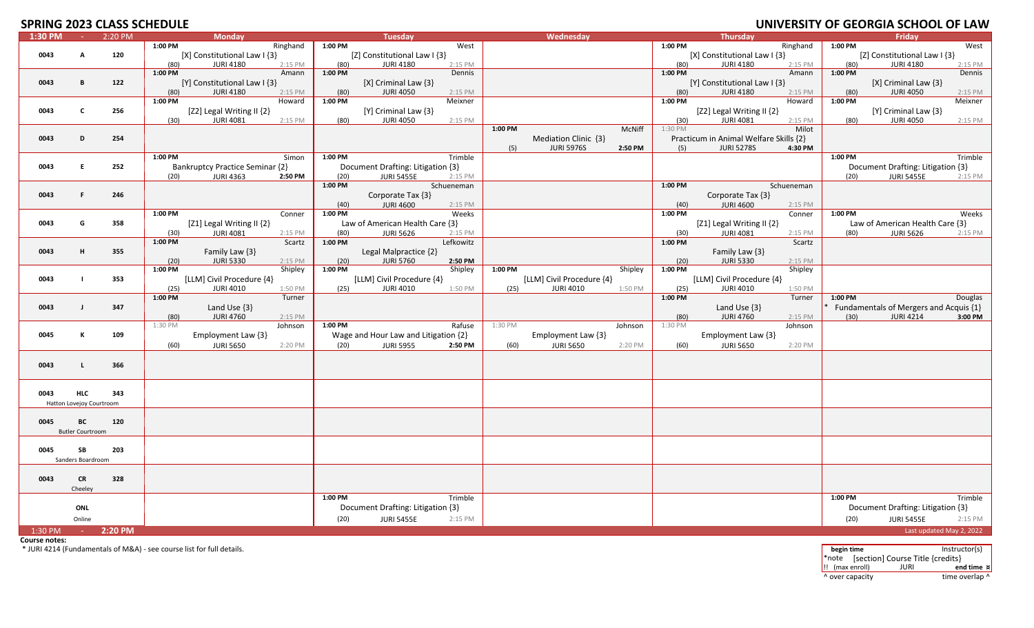# **SPRING 2023 CLASS SCHEDULE**

| 1:30 PM | $\sim 10^{-1}$           | 2:20 PM |         | <b>Monday</b>                   |          |         | <b>Tuesday</b>                       |            |         | Wednesday                 |               |         | <b>Thursday</b>                        |            |         | Friday                                 |         |
|---------|--------------------------|---------|---------|---------------------------------|----------|---------|--------------------------------------|------------|---------|---------------------------|---------------|---------|----------------------------------------|------------|---------|----------------------------------------|---------|
|         |                          |         | 1:00 PM |                                 | Ringhand | 1:00 PM |                                      | West       |         |                           |               | 1:00 PM |                                        | Ringhand   | 1:00 PM |                                        | West    |
| 0043    | A                        | 120     |         | [X] Constitutional Law I {3}    |          |         | [Z] Constitutional Law I {3}         |            |         |                           |               |         | [X] Constitutional Law I {3}           |            |         | [Z] Constitutional Law I {3}           |         |
|         |                          |         | (80)    | <b>JURI 4180</b>                | 2:15 PM  | (80)    | <b>JURI 4180</b>                     | 2:15 PM    |         |                           |               | (80)    | <b>JURI 4180</b>                       | 2:15 PM    | (80)    | <b>JURI 4180</b>                       | 2:15 PM |
|         |                          |         | 1:00 PM |                                 | Amann    | 1:00 PM |                                      | Dennis     |         |                           |               | 1:00 PM |                                        | Amann      | 1:00 PM |                                        | Dennis  |
| 0043    | B                        | 122     |         | [Y] Constitutional Law I {3}    |          |         | [X] Criminal Law {3}                 |            |         |                           |               |         | [Y] Constitutional Law I {3}           |            |         | [X] Criminal Law {3}                   |         |
|         |                          |         | (80)    | <b>JURI 4180</b>                | 2:15 PM  | (80)    | <b>JURI 4050</b>                     | 2:15 PM    |         |                           |               | (80)    | <b>JURI 4180</b>                       | 2:15 PM    | (80)    | <b>JURI 4050</b>                       | 2:15 PM |
|         |                          |         | 1:00 PM |                                 | Howard   | 1:00 PM |                                      | Meixner    |         |                           |               | 1:00 PM |                                        | Howard     | 1:00 PM |                                        | Meixner |
| 0043    | $\mathbf{c}$             | 256     |         | [Z2] Legal Writing II {2}       |          |         | [Y] Criminal Law {3}                 |            |         |                           |               |         | [Z2] Legal Writing II {2}              |            |         | [Y] Criminal Law {3}                   |         |
|         |                          |         | (30)    | <b>JURI 4081</b>                | 2:15 PM  | (80)    | <b>JURI 4050</b>                     | 2:15 PM    |         |                           |               | (30)    | <b>JURI 4081</b>                       | 2:15 PM    | (80)    | <b>JURI 4050</b>                       | 2:15 PM |
|         |                          |         |         |                                 |          |         |                                      |            | 1:00 PM |                           | <b>McNiff</b> | 1:30 PM |                                        | Milot      |         |                                        |         |
| 0043    | D                        | 254     |         |                                 |          |         |                                      |            |         | Mediation Clinic {3}      |               |         | Practicum in Animal Welfare Skills {2} |            |         |                                        |         |
|         |                          |         |         |                                 |          |         |                                      |            | (5)     | <b>JURI 5976S</b>         | 2:50 PM       | (5)     | <b>JURI 5278S</b>                      | 4:30 PM    |         |                                        |         |
|         |                          |         | 1:00 PM |                                 | Simon    | 1:00 PM |                                      | Trimble    |         |                           |               |         |                                        |            | 1:00 PM |                                        | Trimble |
| 0043    | E                        | 252     |         | Bankruptcy Practice Seminar {2} |          |         | Document Drafting: Litigation {3}    |            |         |                           |               |         |                                        |            |         | Document Drafting: Litigation {3}      |         |
|         |                          |         | (20)    | <b>JURI 4363</b>                | 2:50 PM  | (20)    | <b>JURI 5455E</b>                    | 2:15 PM    |         |                           |               |         |                                        |            | (20)    | <b>JURI 5455E</b>                      | 2:15 PM |
|         |                          |         |         |                                 |          | 1:00 PM |                                      | Schueneman |         |                           |               | 1:00 PM |                                        | Schueneman |         |                                        |         |
| 0043    | F.                       | 246     |         |                                 |          |         | Corporate Tax {3}                    |            |         |                           |               |         | Corporate Tax {3}                      |            |         |                                        |         |
|         |                          |         |         |                                 |          | (40)    | <b>JURI 4600</b>                     | 2:15 PM    |         |                           |               | (40)    | <b>JURI 4600</b>                       | 2:15 PM    |         |                                        |         |
|         |                          |         | 1:00 PM |                                 | Conner   | 1:00 PM |                                      | Weeks      |         |                           |               | 1:00 PM |                                        | Conner     | 1:00 PM |                                        | Weeks   |
| 0043    | G                        | 358     |         | [Z1] Legal Writing II {2}       |          |         | Law of American Health Care {3}      |            |         |                           |               |         | [Z1] Legal Writing II {2}              |            |         | Law of American Health Care {3}        |         |
|         |                          |         | (30)    | <b>JURI 4081</b>                | 2:15 PM  | (80)    | <b>JURI 5626</b>                     | 2:15 PM    |         |                           |               | (30)    | <b>JURI 4081</b>                       | 2:15 PM    | (80)    | <b>JURI 5626</b>                       | 2:15 PM |
|         |                          |         | 1:00 PM |                                 | Scartz   | 1:00 PM |                                      | Lefkowitz  |         |                           |               | 1:00 PM |                                        | Scartz     |         |                                        |         |
| 0043    | H                        | 355     |         | Family Law {3}                  |          |         | Legal Malpractice {2}                |            |         |                           |               |         | Family Law {3}                         |            |         |                                        |         |
|         |                          |         | (20)    | <b>JURI 5330</b>                | 2:15 PM  | (20)    | <b>JURI 5760</b>                     | 2:50 PM    |         |                           |               | (20)    | <b>JURI 5330</b>                       | 2:15 PM    |         |                                        |         |
|         |                          |         | 1:00 PM |                                 | Shipley  | 1:00 PM |                                      | Shipley    | 1:00 PM |                           | Shipley       | 1:00 PM |                                        | Shipley    |         |                                        |         |
| 0043    | $\mathbf{I}$             | 353     |         | [LLM] Civil Procedure {4}       |          |         | [LLM] Civil Procedure {4}            |            |         | [LLM] Civil Procedure {4} |               |         | [LLM] Civil Procedure {4}              |            |         |                                        |         |
|         |                          |         | (25)    | <b>JURI 4010</b>                | 1:50 PM  | (25)    | <b>JURI 4010</b>                     | 1:50 PM    | (25)    | <b>JURI 4010</b>          | 1:50 PM       | (25)    | <b>JURI 4010</b>                       | 1:50 PM    |         |                                        |         |
|         |                          |         | 1:00 PM |                                 | Turner   |         |                                      |            |         |                           |               | 1:00 PM |                                        | Turner     | 1:00 PM |                                        | Douglas |
| 0043    | J.                       | 347     |         | Land Use $\{3\}$                |          |         |                                      |            |         |                           |               |         | Land Use $\{3\}$                       |            |         | Fundamentals of Mergers and Acquis {1} |         |
|         |                          |         | (80)    | <b>JURI 4760</b>                | 2:15 PM  |         |                                      |            |         |                           |               | (80)    | <b>JURI 4760</b>                       | 2:15 PM    | (30)    | <b>JURI 4214</b>                       | 3:00 PM |
|         |                          |         | 1:30 PM |                                 | Johnson  | 1:00 PM |                                      | Rafuse     | 1:30 PM |                           | Johnson       | 1:30 PM |                                        | Johnson    |         |                                        |         |
| 0045    | К                        | 109     |         | Employment Law {3}              |          |         | Wage and Hour Law and Litigation {2} |            |         | Employment Law {3}        |               |         | Employment Law {3}                     |            |         |                                        |         |
|         |                          |         | (60)    | <b>JURI 5650</b>                | 2:20 PM  | (20)    | <b>JURI 5955</b>                     | 2:50 PM    | (60)    | <b>JURI 5650</b>          | 2:20 PM       | (60)    | <b>JURI 5650</b>                       | 2:20 PM    |         |                                        |         |
|         |                          |         |         |                                 |          |         |                                      |            |         |                           |               |         |                                        |            |         |                                        |         |
| 0043    | $\mathbf{L}$             | 366     |         |                                 |          |         |                                      |            |         |                           |               |         |                                        |            |         |                                        |         |
|         |                          |         |         |                                 |          |         |                                      |            |         |                           |               |         |                                        |            |         |                                        |         |
|         |                          |         |         |                                 |          |         |                                      |            |         |                           |               |         |                                        |            |         |                                        |         |
| 0043    | <b>HLC</b>               | 343     |         |                                 |          |         |                                      |            |         |                           |               |         |                                        |            |         |                                        |         |
|         | Hatton Lovejoy Courtroom |         |         |                                 |          |         |                                      |            |         |                           |               |         |                                        |            |         |                                        |         |
|         |                          |         |         |                                 |          |         |                                      |            |         |                           |               |         |                                        |            |         |                                        |         |
| 0045    | BC                       | 120     |         |                                 |          |         |                                      |            |         |                           |               |         |                                        |            |         |                                        |         |
|         | <b>Butler Courtroom</b>  |         |         |                                 |          |         |                                      |            |         |                           |               |         |                                        |            |         |                                        |         |
|         |                          |         |         |                                 |          |         |                                      |            |         |                           |               |         |                                        |            |         |                                        |         |
| 0045    | SB                       | 203     |         |                                 |          |         |                                      |            |         |                           |               |         |                                        |            |         |                                        |         |
|         | Sanders Boardroom        |         |         |                                 |          |         |                                      |            |         |                           |               |         |                                        |            |         |                                        |         |
|         |                          |         |         |                                 |          |         |                                      |            |         |                           |               |         |                                        |            |         |                                        |         |
| 0043    | <b>CR</b>                | 328     |         |                                 |          |         |                                      |            |         |                           |               |         |                                        |            |         |                                        |         |
|         | Cheeley                  |         |         |                                 |          |         |                                      |            |         |                           |               |         |                                        |            |         |                                        |         |
|         |                          |         |         |                                 |          | 1:00 PM |                                      | Trimble    |         |                           |               |         |                                        |            | 1:00 PM |                                        | Trimble |
|         | ONL                      |         |         |                                 |          |         | Document Drafting: Litigation {3}    |            |         |                           |               |         |                                        |            |         | Document Drafting: Litigation {3}      |         |
|         | Online                   |         |         |                                 |          | (20)    | <b>JURI 5455E</b>                    | 2:15 PM    |         |                           |               |         |                                        |            | (20)    | <b>JURI 5455E</b>                      | 2:15 PM |
| 1:30 PM | $\sim 10^{-1}$           | 2:20 PM |         |                                 |          |         |                                      |            |         |                           |               |         |                                        |            |         | Last updated May 2, 2022               |         |

**Course notes:**

\* JURI 4214 (Fundamentals of M&A) ‐ see course list for full details. **begin time** Instructor(s)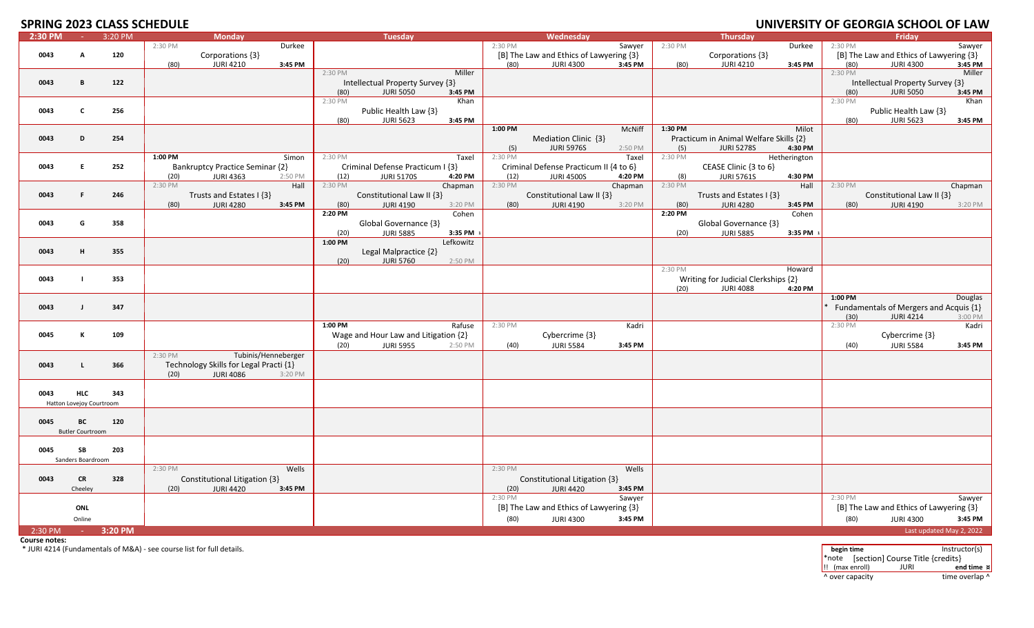# **SPRING 2023 CLASS SCHEDLILE**

|         |                          |         | ULAJJ JUHLDULL |                                        |                     |         |                                      |           |         |                                         |         |         |                                        |              | <b>UNIVERSITI UI ULURUM</b> | JUIVUL VI LAIN                          |         |
|---------|--------------------------|---------|----------------|----------------------------------------|---------------------|---------|--------------------------------------|-----------|---------|-----------------------------------------|---------|---------|----------------------------------------|--------------|-----------------------------|-----------------------------------------|---------|
| 2:30 PM | $\sim 10^{-1}$           | 3:20 PM |                | <b>Monday</b>                          |                     |         | <b>Tuesday</b>                       |           |         | Wednesday                               |         |         | <b>Thursday</b>                        |              |                             | <b>Fridav</b>                           |         |
|         |                          |         | 2:30 PM        |                                        | Durkee              |         |                                      |           | 2:30 PM |                                         | Sawyer  | 2:30 PM |                                        | Durkee       | 2:30 PM                     |                                         | Sawyer  |
| 0043    | A                        | 120     |                | Corporations {3}                       |                     |         |                                      |           |         | [B] The Law and Ethics of Lawyering {3} |         |         | Corporations {3}                       |              |                             | [B] The Law and Ethics of Lawyering {3} |         |
|         |                          |         | (80)           | <b>JURI 4210</b>                       | 3:45 PM             |         |                                      |           | (80)    | <b>JURI 4300</b>                        | 3:45 PM | (80)    | <b>JURI 4210</b>                       | 3:45 PM      | (80)                        | <b>JURI 4300</b>                        | 3:45 PM |
|         |                          |         |                |                                        |                     | 2:30 PM |                                      | Miller    |         |                                         |         |         |                                        |              | 2:30 PM                     |                                         | Miller  |
|         |                          |         |                |                                        |                     |         |                                      |           |         |                                         |         |         |                                        |              |                             |                                         |         |
| 0043    | в                        | 122     |                |                                        |                     |         | Intellectual Property Survey {3}     |           |         |                                         |         |         |                                        |              |                             | Intellectual Property Survey {3}        |         |
|         |                          |         |                |                                        |                     | (80)    | <b>JURI 5050</b>                     | 3:45 PM   |         |                                         |         |         |                                        |              | (80)                        | <b>JURI 5050</b>                        | 3:45 PM |
|         |                          |         |                |                                        |                     | 2:30 PM |                                      | Khan      |         |                                         |         |         |                                        |              | 2:30 PM                     |                                         | Khan    |
| 0043    | C                        | 256     |                |                                        |                     |         | Public Health Law {3}                |           |         |                                         |         |         |                                        |              |                             | Public Health Law {3}                   |         |
|         |                          |         |                |                                        |                     | (80)    | <b>JURI 5623</b>                     | 3:45 PM   |         |                                         |         |         |                                        |              | (80)                        | <b>JURI 5623</b>                        | 3:45 PM |
|         |                          |         |                |                                        |                     |         |                                      |           | 1:00 PM |                                         | McNiff  | 1:30 PM |                                        | Milot        |                             |                                         |         |
|         |                          |         |                |                                        |                     |         |                                      |           |         |                                         |         |         |                                        |              |                             |                                         |         |
| 0043    | D                        | 254     |                |                                        |                     |         |                                      |           |         | Mediation Clinic {3}                    |         |         | Practicum in Animal Welfare Skills {2} |              |                             |                                         |         |
|         |                          |         |                |                                        |                     |         |                                      |           | (5)     | <b>JURI 5976S</b>                       | 2:50 PM | (5)     | <b>JURI 5278S</b>                      | 4:30 PM      |                             |                                         |         |
|         |                          |         | 1:00 PM        |                                        | Simon               | 2:30 PM |                                      | Taxel     | 2:30 PM |                                         | Taxel   | 2:30 PM |                                        | Hetherington |                             |                                         |         |
| 0043    | Е.                       | 252     |                | Bankruptcy Practice Seminar {2}        |                     |         | Criminal Defense Practicum I {3}     |           |         | Criminal Defense Practicum II {4 to 6}  |         |         | CEASE Clinic {3 to 6}                  |              |                             |                                         |         |
|         |                          |         | (20)           | <b>JURI 4363</b>                       | 2:50 PM             | (12)    | <b>JURI 5170S</b>                    | 4:20 PM   | (12)    | <b>JURI 4500S</b>                       | 4:20 PM | (8)     | <b>JURI 5761S</b>                      | 4:30 PM      |                             |                                         |         |
|         |                          |         | 2:30 PM        |                                        | Hall                | 2:30 PM |                                      | Chapman   | 2:30 PM |                                         |         | 2:30 PM |                                        | Hall         | 2:30 PM                     |                                         |         |
|         |                          |         |                |                                        |                     |         |                                      |           |         |                                         | Chapman |         |                                        |              |                             |                                         | Chapman |
| 0043    | F.                       | 246     |                | Trusts and Estates I {3}               |                     |         | Constitutional Law II {3}            |           |         | Constitutional Law II {3}               |         |         | Trusts and Estates I {3}               |              |                             | Constitutional Law II {3}               |         |
|         |                          |         | (80)           | <b>JURI 4280</b>                       | 3:45 PM             | (80)    | <b>JURI 4190</b>                     | 3:20 PM   | (80)    | <b>JURI 4190</b>                        | 3:20 PM | (80)    | <b>JURI 4280</b>                       | 3:45 PM      | (80)                        | <b>JURI 4190</b>                        | 3:20 PM |
|         |                          |         |                |                                        |                     | 2:20 PM |                                      | Cohen     |         |                                         |         | 2:20 PM |                                        | Cohen        |                             |                                         |         |
| 0043    | G                        | 358     |                |                                        |                     |         | Global Governance {3}                |           |         |                                         |         |         | Global Governance {3}                  |              |                             |                                         |         |
|         |                          |         |                |                                        |                     |         | <b>JURI 5885</b>                     | 3:35 PM   |         |                                         |         | (20)    | <b>JURI 5885</b>                       | 3:35 PM      |                             |                                         |         |
|         |                          |         |                |                                        |                     | (20)    |                                      |           |         |                                         |         |         |                                        |              |                             |                                         |         |
|         |                          |         |                |                                        |                     | 1:00 PM |                                      | Lefkowitz |         |                                         |         |         |                                        |              |                             |                                         |         |
| 0043    | H                        | 355     |                |                                        |                     |         | Legal Malpractice {2}                |           |         |                                         |         |         |                                        |              |                             |                                         |         |
|         |                          |         |                |                                        |                     | (20)    | <b>JURI 5760</b>                     | 2:50 PM   |         |                                         |         |         |                                        |              |                             |                                         |         |
|         |                          |         |                |                                        |                     |         |                                      |           |         |                                         |         | 2:30 PM |                                        | Howard       |                             |                                         |         |
| 0043    |                          | 353     |                |                                        |                     |         |                                      |           |         |                                         |         |         | Writing for Judicial Clerkships {2}    |              |                             |                                         |         |
|         |                          |         |                |                                        |                     |         |                                      |           |         |                                         |         | (20)    | <b>JURI 4088</b>                       | 4:20 PM      |                             |                                         |         |
|         |                          |         |                |                                        |                     |         |                                      |           |         |                                         |         |         |                                        |              | 1:00 PM                     |                                         |         |
|         |                          |         |                |                                        |                     |         |                                      |           |         |                                         |         |         |                                        |              |                             |                                         | Douglas |
| 0043    | $\blacksquare$           | 347     |                |                                        |                     |         |                                      |           |         |                                         |         |         |                                        |              |                             | Fundamentals of Mergers and Acquis {1}  |         |
|         |                          |         |                |                                        |                     |         |                                      |           |         |                                         |         |         |                                        |              | (30)                        | <b>JURI 4214</b>                        | 3:00 PM |
|         |                          |         |                |                                        |                     | 1:00 PM |                                      | Rafuse    | 2:30 PM |                                         | Kadri   |         |                                        |              | 2:30 PM                     |                                         | Kadri   |
| 0045    | К                        | 109     |                |                                        |                     |         | Wage and Hour Law and Litigation {2} |           |         | Cybercrime {3}                          |         |         |                                        |              |                             | Cybercrime {3}                          |         |
|         |                          |         |                |                                        |                     |         |                                      |           |         |                                         |         |         |                                        |              |                             |                                         |         |
|         |                          |         |                |                                        |                     | (20)    | <b>JURI 5955</b>                     | 2:50 PM   | (40)    | <b>JURI 5584</b>                        | 3:45 PM |         |                                        |              | (40)                        | <b>JURI 5584</b>                        | 3:45 PM |
|         |                          |         | 2:30 PM        |                                        | Tubinis/Henneberger |         |                                      |           |         |                                         |         |         |                                        |              |                             |                                         |         |
| 0043    | L.                       | 366     |                | Technology Skills for Legal Practi {1} |                     |         |                                      |           |         |                                         |         |         |                                        |              |                             |                                         |         |
|         |                          |         | (20)           | <b>JURI 4086</b>                       | 3:20 PM             |         |                                      |           |         |                                         |         |         |                                        |              |                             |                                         |         |
|         |                          |         |                |                                        |                     |         |                                      |           |         |                                         |         |         |                                        |              |                             |                                         |         |
|         |                          |         |                |                                        |                     |         |                                      |           |         |                                         |         |         |                                        |              |                             |                                         |         |
| 0043    | <b>HLC</b>               | 343     |                |                                        |                     |         |                                      |           |         |                                         |         |         |                                        |              |                             |                                         |         |
|         | Hatton Lovejoy Courtroom |         |                |                                        |                     |         |                                      |           |         |                                         |         |         |                                        |              |                             |                                         |         |
|         |                          |         |                |                                        |                     |         |                                      |           |         |                                         |         |         |                                        |              |                             |                                         |         |
| 0045    | ВC                       | 120     |                |                                        |                     |         |                                      |           |         |                                         |         |         |                                        |              |                             |                                         |         |
|         | <b>Butler Courtroom</b>  |         |                |                                        |                     |         |                                      |           |         |                                         |         |         |                                        |              |                             |                                         |         |
|         |                          |         |                |                                        |                     |         |                                      |           |         |                                         |         |         |                                        |              |                             |                                         |         |
|         |                          |         |                |                                        |                     |         |                                      |           |         |                                         |         |         |                                        |              |                             |                                         |         |
| 0045    | SB                       | 203     |                |                                        |                     |         |                                      |           |         |                                         |         |         |                                        |              |                             |                                         |         |
|         | Sanders Boardroom        |         |                |                                        |                     |         |                                      |           |         |                                         |         |         |                                        |              |                             |                                         |         |
|         |                          |         | 2:30 PM        |                                        | Wells               |         |                                      |           | 2:30 PM |                                         | Wells   |         |                                        |              |                             |                                         |         |
| 0043    | <b>CR</b>                | 328     |                | Constitutional Litigation {3}          |                     |         |                                      |           |         | Constitutional Litigation {3}           |         |         |                                        |              |                             |                                         |         |
|         | Cheeley                  |         |                |                                        |                     |         |                                      |           |         |                                         |         |         |                                        |              |                             |                                         |         |
|         |                          |         | (20)           | <b>JURI 4420</b>                       | 3:45 PM             |         |                                      |           | (20)    | <b>JURI 4420</b>                        | 3:45 PM |         |                                        |              |                             |                                         |         |
|         |                          |         |                |                                        |                     |         |                                      |           | 2:30 PM |                                         | Sawyer  |         |                                        |              | 2:30 PM                     |                                         | Sawyer  |
|         | ONL                      |         |                |                                        |                     |         |                                      |           |         | [B] The Law and Ethics of Lawyering {3} |         |         |                                        |              |                             | [B] The Law and Ethics of Lawyering {3} |         |
|         | Online                   |         |                |                                        |                     |         |                                      |           | (80)    | <b>JURI 4300</b>                        | 3:45 PM |         |                                        |              | (80)                        | <b>JURI 4300</b>                        | 3:45 PM |
|         |                          |         |                |                                        |                     |         |                                      |           |         |                                         |         |         |                                        |              |                             |                                         |         |
| 2:30 PM | $\sim 100$               | 3:20 PM |                |                                        |                     |         |                                      |           |         |                                         |         |         |                                        |              |                             | Last updated May 2, 2022                |         |

**Course notes:**

\* JURI 4214 (Fundamentals of M&A) ‐ see course list for full details. **begin time** Instructor(s)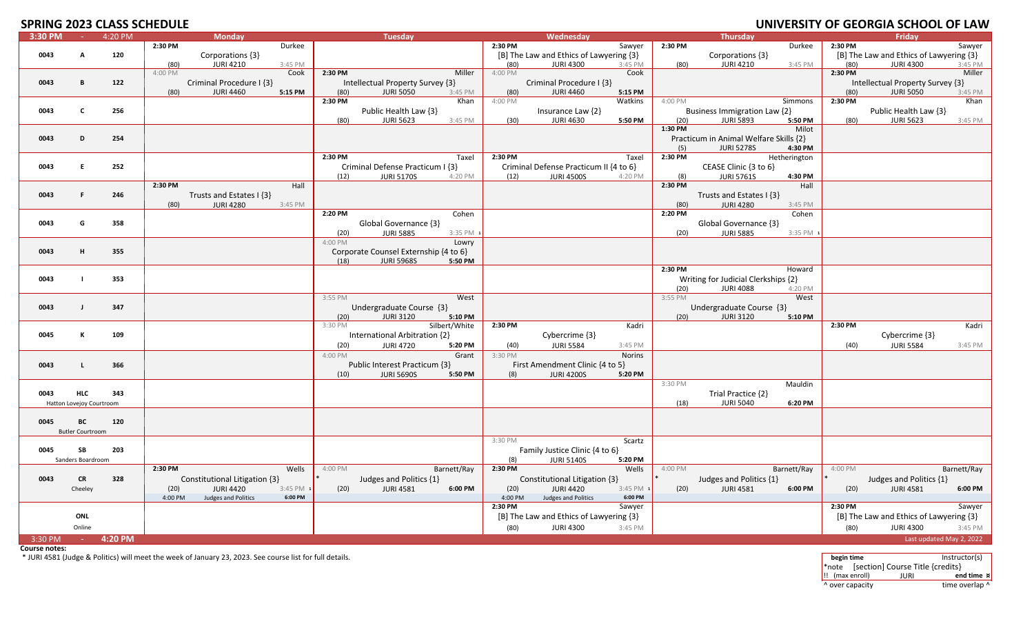# **SPRING 2023 CLASS SCHEDLILE**

|               |                          | JI INING ZUZJ CLAJJ JCHLDULL |         |                               |           |         |                                       |               |         |                                         |               |         |                                        |              |         | <u>UNIVERSITI UI ULURUM JUNUUL UI LAN</u> |                          |
|---------------|--------------------------|------------------------------|---------|-------------------------------|-----------|---------|---------------------------------------|---------------|---------|-----------------------------------------|---------------|---------|----------------------------------------|--------------|---------|-------------------------------------------|--------------------------|
| 3:30 PM       | <b>College</b>           | 4:20 PM                      |         | <b>Monday</b>                 |           |         | <b>Tuesday</b>                        |               |         | Wednesday                               |               |         | <b>Thursday</b>                        |              |         | <b>Fridav</b>                             |                          |
|               |                          |                              | 2:30 PM |                               | Durkee    |         |                                       |               | 2:30 PM |                                         | Sawyer        | 2:30 PM |                                        | Durkee       | 2:30 PM |                                           | Sawyer                   |
| 0043          | А                        | 120                          |         | Corporations {3}              |           |         |                                       |               |         | [B] The Law and Ethics of Lawyering {3} |               |         | Corporations {3}                       |              |         | [B] The Law and Ethics of Lawyering {3}   |                          |
|               |                          |                              | (80)    | <b>JURI 4210</b>              | 3:45 PM   |         |                                       |               | (80)    | <b>JURI 4300</b>                        | 3:45 PM       | (80)    | <b>JURI 4210</b>                       | 3:45 PM      | (80)    | <b>JURI 4300</b>                          | 3:45 PM                  |
|               |                          |                              | 4:00 PM |                               |           | 2:30 PM |                                       | Miller        | 4:00 PM |                                         | Cook          |         |                                        |              | 2:30 PM |                                           | Miller                   |
|               |                          |                              |         |                               | Cook      |         |                                       |               |         |                                         |               |         |                                        |              |         |                                           |                          |
| 0043          | В                        | 122                          |         | Criminal Procedure I {3}      |           |         | Intellectual Property Survey {3}      |               |         | Criminal Procedure I {3}                |               |         |                                        |              |         | Intellectual Property Survey {3}          |                          |
|               |                          |                              | (80)    | <b>JURI 4460</b>              | 5:15 PM   | (80)    | <b>JURI 5050</b>                      | 3:45 PM       | (80)    | <b>JURI 4460</b>                        | 5:15 PM       |         |                                        |              | (80)    | <b>JURI 5050</b>                          | 3:45 PM                  |
|               |                          |                              |         |                               |           | 2:30 PM |                                       | Khan          | 4:00 PM |                                         | Watkins       | 4:00 PM |                                        | Simmons      | 2:30 PM |                                           | Khan                     |
| 0043          | C                        | 256                          |         |                               |           |         | Public Health Law {3}                 |               |         | Insurance Law {2}                       |               |         | Business Immigration Law {2}           |              |         | Public Health Law {3}                     |                          |
|               |                          |                              |         |                               |           |         |                                       |               |         |                                         |               |         |                                        |              |         |                                           |                          |
|               |                          |                              |         |                               |           | (80)    | <b>JURI 5623</b>                      | 3:45 PM       | (30)    | <b>JURI 4630</b>                        | 5:50 PM       | (20)    | <b>JURI 5893</b>                       | 5:50 PM      | (80)    | <b>JURI 5623</b>                          | 3:45 PM                  |
|               |                          |                              |         |                               |           |         |                                       |               |         |                                         |               | 1:30 PM |                                        | Milot        |         |                                           |                          |
| 0043          | D                        | 254                          |         |                               |           |         |                                       |               |         |                                         |               |         | Practicum in Animal Welfare Skills {2} |              |         |                                           |                          |
|               |                          |                              |         |                               |           |         |                                       |               |         |                                         |               | (5)     | <b>JURI 5278S</b>                      | 4:30 PM      |         |                                           |                          |
|               |                          |                              |         |                               |           | 2:30 PM |                                       | Taxel         | 2:30 PM |                                         | Taxel         | 2:30 PM |                                        | Hetherington |         |                                           |                          |
| 0043          | E.                       | 252                          |         |                               |           |         |                                       |               |         |                                         |               |         |                                        |              |         |                                           |                          |
|               |                          |                              |         |                               |           |         | Criminal Defense Practicum I {3}      |               |         | Criminal Defense Practicum II {4 to 6}  |               |         | CEASE Clinic {3 to 6}                  |              |         |                                           |                          |
|               |                          |                              |         |                               |           | (12)    | <b>JURI 5170S</b>                     | 4:20 PM       | (12)    | <b>JURI 4500S</b>                       | 4:20 PM       | (8)     | <b>JURI 5761S</b>                      | 4:30 PM      |         |                                           |                          |
|               |                          |                              | 2:30 PM |                               | Hall      |         |                                       |               |         |                                         |               | 2:30 PM |                                        | Hall         |         |                                           |                          |
| 0043          | F.                       | 246                          |         | Trusts and Estates I {3}      |           |         |                                       |               |         |                                         |               |         | Trusts and Estates I {3}               |              |         |                                           |                          |
|               |                          |                              | (80)    | <b>JURI 4280</b>              | 3:45 PM   |         |                                       |               |         |                                         |               | (80)    | <b>JURI 4280</b>                       | 3:45 PM      |         |                                           |                          |
|               |                          |                              |         |                               |           |         |                                       |               |         |                                         |               |         |                                        |              |         |                                           |                          |
|               |                          |                              |         |                               |           | 2:20 PM |                                       | Cohen         |         |                                         |               | 2:20 PM |                                        | Cohen        |         |                                           |                          |
| 0043          | G                        | 358                          |         |                               |           |         | Global Governance {3}                 |               |         |                                         |               |         | Global Governance {3}                  |              |         |                                           |                          |
|               |                          |                              |         |                               |           | (20)    | <b>JURI 5885</b>                      | 3:35 PM 1     |         |                                         |               | (20)    | <b>JURI 5885</b>                       | 3:35 PM 1    |         |                                           |                          |
|               |                          |                              |         |                               |           | 4:00 PM |                                       | Lowry         |         |                                         |               |         |                                        |              |         |                                           |                          |
|               | H                        |                              |         |                               |           |         |                                       |               |         |                                         |               |         |                                        |              |         |                                           |                          |
| 0043          |                          | 355                          |         |                               |           |         | Corporate Counsel Externship {4 to 6} |               |         |                                         |               |         |                                        |              |         |                                           |                          |
|               |                          |                              |         |                               |           | (18)    | <b>JURI 5968S</b>                     | 5:50 PM       |         |                                         |               |         |                                        |              |         |                                           |                          |
|               |                          |                              |         |                               |           |         |                                       |               |         |                                         |               | 2:30 PM |                                        | Howard       |         |                                           |                          |
| 0043          |                          | 353                          |         |                               |           |         |                                       |               |         |                                         |               |         | Writing for Judicial Clerkships {2}    |              |         |                                           |                          |
|               |                          |                              |         |                               |           |         |                                       |               |         |                                         |               | (20)    | <b>JURI 4088</b>                       | 4:20 PM      |         |                                           |                          |
|               |                          |                              |         |                               |           | 3:55 PM |                                       |               |         |                                         |               | 3:55 PM |                                        | West         |         |                                           |                          |
|               |                          |                              |         |                               |           |         |                                       | West          |         |                                         |               |         |                                        |              |         |                                           |                          |
| 0043          | -1                       | 347                          |         |                               |           |         | Undergraduate Course {3}              |               |         |                                         |               |         | Undergraduate Course {3}               |              |         |                                           |                          |
|               |                          |                              |         |                               |           | (20)    | <b>JURI 3120</b>                      | 5:10 PM       |         |                                         |               | (20)    | <b>JURI 3120</b>                       | 5:10 PM      |         |                                           |                          |
|               |                          |                              |         |                               |           | 3:30 PM |                                       | Silbert/White | 2:30 PM |                                         | Kadri         |         |                                        |              | 2:30 PM |                                           | Kadri                    |
| 0045          | к                        | 109                          |         |                               |           |         | International Arbitration {2}         |               |         | Cybercrime {3}                          |               |         |                                        |              |         | Cybercrime $\{3\}$                        |                          |
|               |                          |                              |         |                               |           |         |                                       |               |         |                                         |               |         |                                        |              |         |                                           |                          |
|               |                          |                              |         |                               |           | (20)    | <b>JURI 4720</b>                      | 5:20 PM       | (40)    | <b>JURI 5584</b>                        | 3:45 PM       |         |                                        |              | (40)    | <b>JURI 5584</b>                          | 3:45 PM                  |
|               |                          |                              |         |                               |           | 4:00 PM |                                       | Grant         | 3:30 PM |                                         | <b>Norins</b> |         |                                        |              |         |                                           |                          |
| 0043          | л.                       | 366                          |         |                               |           |         | Public Interest Practicum {3}         |               |         | First Amendment Clinic {4 to 5}         |               |         |                                        |              |         |                                           |                          |
|               |                          |                              |         |                               |           | (10)    | <b>JURI 5690S</b>                     | 5:50 PM       | (8)     | <b>JURI 4200S</b>                       | 5:20 PM       |         |                                        |              |         |                                           |                          |
|               |                          |                              |         |                               |           |         |                                       |               |         |                                         |               |         |                                        |              |         |                                           |                          |
|               |                          |                              |         |                               |           |         |                                       |               |         |                                         |               | 3:30 PM |                                        | Mauldin      |         |                                           |                          |
| 0043          | <b>HLC</b>               | 343                          |         |                               |           |         |                                       |               |         |                                         |               |         | Trial Practice {2}                     |              |         |                                           |                          |
|               | Hatton Lovejoy Courtroom |                              |         |                               |           |         |                                       |               |         |                                         |               | (18)    | <b>JURI 5040</b>                       | 6:20 PM      |         |                                           |                          |
|               |                          |                              |         |                               |           |         |                                       |               |         |                                         |               |         |                                        |              |         |                                           |                          |
|               | BC                       |                              |         |                               |           |         |                                       |               |         |                                         |               |         |                                        |              |         |                                           |                          |
| 0045          |                          | 120                          |         |                               |           |         |                                       |               |         |                                         |               |         |                                        |              |         |                                           |                          |
|               | <b>Butler Courtroom</b>  |                              |         |                               |           |         |                                       |               |         |                                         |               |         |                                        |              |         |                                           |                          |
|               |                          |                              |         |                               |           |         |                                       |               | 3:30 PM |                                         | Scartz        |         |                                        |              |         |                                           |                          |
| 0045          | SB                       | 203                          |         |                               |           |         |                                       |               |         | Family Justice Clinic {4 to 6}          |               |         |                                        |              |         |                                           |                          |
|               | Sanders Boardroom        |                              |         |                               |           |         |                                       |               |         | <b>JURI 5140S</b>                       | 5:20 PM       |         |                                        |              |         |                                           |                          |
|               |                          |                              |         |                               |           |         |                                       |               | (8)     |                                         |               |         |                                        |              |         |                                           |                          |
|               |                          |                              | 2:30 PM |                               | Wells     | 4:00 PM |                                       | Barnett/Ray   | 2:30 PM |                                         | Wells         | 4:00 PM |                                        | Barnett/Ray  | 4:00 PM |                                           | Barnett/Ray              |
| 0043          | <b>CR</b>                | 328                          |         | Constitutional Litigation {3} |           |         | Judges and Politics {1}               |               |         | Constitutional Litigation {3}           |               |         | Judges and Politics {1}                |              |         | Judges and Politics {1}                   |                          |
|               | Cheeley                  |                              | (20)    | <b>JURI 4420</b>              | 3:45 PM 1 | (20)    | <b>JURI 4581</b>                      | 6:00 PM       | (20)    | <b>JURI 4420</b>                        | 3:45 PM 1     | (20)    | <b>JURI 4581</b>                       | 6:00 PM      | (20)    | <b>JURI 4581</b>                          | 6:00 PM                  |
|               |                          |                              | 4:00 PM | Judges and Politics           | 6:00 PM   |         |                                       |               | 4:00 PM | Judges and Politics                     | 6:00 PM       |         |                                        |              |         |                                           |                          |
|               |                          |                              |         |                               |           |         |                                       |               |         |                                         |               |         |                                        |              |         |                                           |                          |
|               |                          |                              |         |                               |           |         |                                       |               | 2:30 PM |                                         | Sawyer        |         |                                        |              | 2:30 PM |                                           | Sawyer                   |
|               | ONL                      |                              |         |                               |           |         |                                       |               |         | [B] The Law and Ethics of Lawyering {3} |               |         |                                        |              |         | [B] The Law and Ethics of Lawyering {3}   |                          |
|               | Online                   |                              |         |                               |           |         |                                       |               | (80)    | <b>JURI 4300</b>                        | 3:45 PM       |         |                                        |              | (80)    | <b>JURI 4300</b>                          | 3:45 PM                  |
|               |                          |                              |         |                               |           |         |                                       |               |         |                                         |               |         |                                        |              |         |                                           |                          |
| 3:30 PM       | $\sim 100$               | 4:20 PM                      |         |                               |           |         |                                       |               |         |                                         |               |         |                                        |              |         |                                           | Last updated May 2, 2022 |
| Course notes: |                          |                              |         |                               |           |         |                                       |               |         |                                         |               |         |                                        |              |         |                                           |                          |

\*note [section] Course Title {credits} !! (max enroll) JURI **end time ¤** ^ over capacity  $\bullet$  time overlap ^

\* JURI 4581 (Judge & Politics) will meet the week of January 23, 2023. See course list for full details. **begin time** Instructor(s)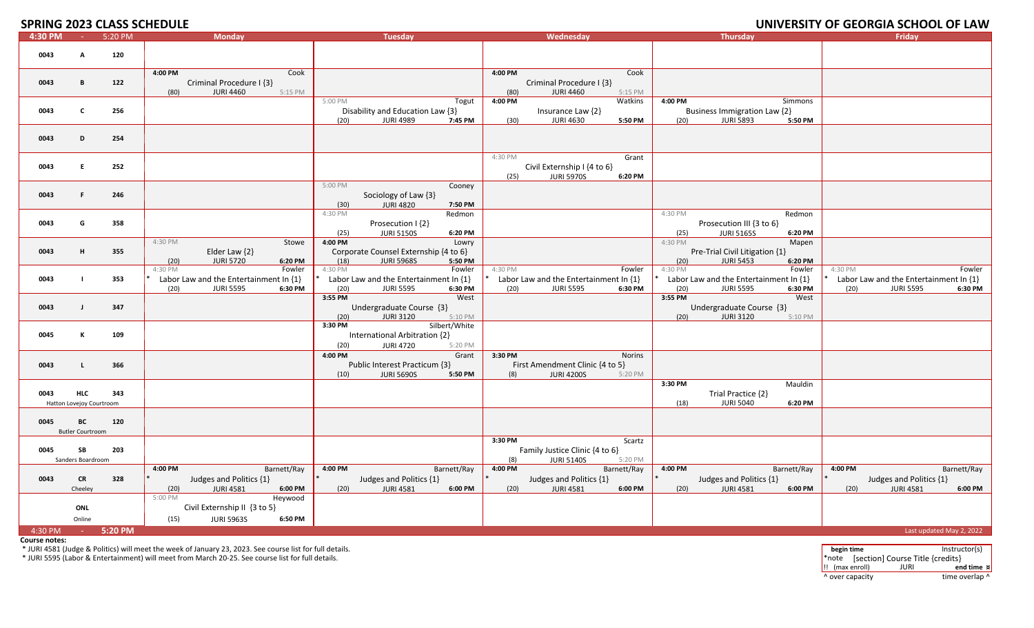# CROINIC 2022 CLACC CCULCULLE

|         |                                        |         | SPRING ZUZS CLASS SCHEDULE                                                                         |                                                                                                                 |                                                                                                    |                                                                                                    | UNIVERSITY OF GEORGIA SCHOOL OF LAW                                                                |
|---------|----------------------------------------|---------|----------------------------------------------------------------------------------------------------|-----------------------------------------------------------------------------------------------------------------|----------------------------------------------------------------------------------------------------|----------------------------------------------------------------------------------------------------|----------------------------------------------------------------------------------------------------|
| 4:30 PM | <b>Card</b>                            | 5:20 PM | <b>Monday</b>                                                                                      | <b>Tuesday</b>                                                                                                  | Wednesday                                                                                          | Thursday                                                                                           | Friday                                                                                             |
| 0043    | A                                      | 120     |                                                                                                    |                                                                                                                 |                                                                                                    |                                                                                                    |                                                                                                    |
| 0043    | B                                      | 122     | 4:00 PM<br>Cook<br>Criminal Procedure I {3}<br><b>JURI 4460</b><br>(80)<br>5:15 PM                 |                                                                                                                 | 4:00 PM<br>Cook<br>Criminal Procedure I {3}<br><b>JURI 4460</b><br>(80)<br>5:15 PM                 |                                                                                                    |                                                                                                    |
| 0043    | C                                      | 256     |                                                                                                    | 5:00 PM<br>Togut<br>Disability and Education Law {3}<br><b>JURI 4989</b><br>(20)<br>7:45 PM                     | 4:00 PM<br>Watkins<br>Insurance Law {2}<br><b>JURI 4630</b><br>(30)<br>5:50 PM                     | 4:00 PM<br>Simmons<br>Business Immigration Law {2}<br><b>JURI 5893</b><br>(20)<br>5:50 PM          |                                                                                                    |
| 0043    | D                                      | 254     |                                                                                                    |                                                                                                                 |                                                                                                    |                                                                                                    |                                                                                                    |
| 0043    | E.                                     | 252     |                                                                                                    |                                                                                                                 | 4:30 PM<br>Grant<br>Civil Externship I {4 to 6}<br>(25)<br><b>JURI 5970S</b><br>6:20 PM            |                                                                                                    |                                                                                                    |
| 0043    | F.                                     | 246     |                                                                                                    | 5:00 PM<br>Cooney<br>Sociology of Law {3}<br><b>JURI 4820</b><br>7:50 PM<br>(30)                                |                                                                                                    |                                                                                                    |                                                                                                    |
| 0043    | G                                      | 358     |                                                                                                    | 4:30 PM<br>Redmon<br>Prosecution I {2}<br>(25)<br><b>JURI 5150S</b><br>6:20 PM                                  |                                                                                                    | Redmon<br>4:30 PM<br>Prosecution III {3 to 6}<br><b>JURI 5165S</b><br>(25)<br>6:20 PM              |                                                                                                    |
| 0043    | H                                      | 355     | 4:30 PM<br>Stowe<br>Elder Law {2}<br><b>JURI 5720</b><br>(20)<br>6:20 PM                           | 4:00 PM<br>Lowry<br>Corporate Counsel Externship {4 to 6}<br><b>JURI 5968S</b><br>(18)<br>5:50 PM               |                                                                                                    | 4:30 PM<br>Mapen<br>Pre-Trial Civil Litigation {1}<br><b>JURI 5453</b><br>(20)<br>6:20 PM          |                                                                                                    |
| 0043    |                                        | 353     | 4:30 PM<br>Fowler<br>Labor Law and the Entertainment In {1}<br><b>JURI 5595</b><br>(20)<br>6:30 PM | $4:30 P\overline{M}$<br>Fowler<br>Labor Law and the Entertainment In {1}<br>(20)<br><b>JURI 5595</b><br>6:30 PM | 4:30 PM<br>Fowler<br>Labor Law and the Entertainment In {1}<br><b>JURI 5595</b><br>(20)<br>6:30 PM | 4:30 PM<br>Fowler<br>Labor Law and the Entertainment In {1}<br>(20)<br><b>JURI 5595</b><br>6:30 PM | 4:30 PM<br>Fowler<br>Labor Law and the Entertainment In {1}<br><b>JURI 5595</b><br>6:30 PM<br>(20) |
| 0043    | $\mathbf{I}$                           | 347     |                                                                                                    | 3:55 PM<br>West<br>Undergraduate Course {3}<br><b>JURI 3120</b><br>5:10 PM<br>(20)                              |                                                                                                    | 3:55 PM<br>West<br>Undergraduate Course {3}<br><b>JURI 3120</b><br>(20)<br>5:10 PM                 |                                                                                                    |
| 0045    | К                                      | 109     |                                                                                                    | 3:30 PM<br>Silbert/White<br>International Arbitration {2}<br><b>JURI 4720</b><br>(20)<br>5:20 PM                |                                                                                                    |                                                                                                    |                                                                                                    |
| 0043    | $\mathbf{L}$                           | 366     |                                                                                                    | 4:00 PM<br>Grant<br>Public Interest Practicum {3}<br><b>JURI 5690S</b><br>5:50 PM<br>(10)                       | 3:30 PM<br><b>Norins</b><br>First Amendment Clinic {4 to 5}<br>(8)<br><b>JURI 4200S</b><br>5:20 PM |                                                                                                    |                                                                                                    |
| 0043    | <b>HLC</b><br>Hatton Lovejoy Courtroom | 343     |                                                                                                    |                                                                                                                 |                                                                                                    | 3:30 PM<br>Mauldin<br>Trial Practice {2}<br><b>JURI 5040</b><br>(18)<br>6:20 PM                    |                                                                                                    |
| 0045    | BC<br><b>Butler Courtroom</b>          | 120     |                                                                                                    |                                                                                                                 |                                                                                                    |                                                                                                    |                                                                                                    |
| 0045    | SB<br>Sanders Boardroom                | 203     |                                                                                                    |                                                                                                                 | 3:30 PM<br>Scartz<br>Family Justice Clinic {4 to 6}<br>(8)<br><b>JURI 5140S</b><br>5:20 PM         |                                                                                                    |                                                                                                    |
| 0043    | <b>CR</b><br>Cheeley                   | 328     | Barnett/Ray<br>4:00 PM<br>Judges and Politics {1}<br><b>JURI 4581</b><br>6:00 PM<br>(20)           | 4:00 PM<br>Barnett/Ray<br>Judges and Politics {1}<br><b>JURI 4581</b><br>(20)<br>6:00 PM                        | 4:00 PM<br>Barnett/Ray<br>Judges and Politics {1}<br>6:00 PM<br>(20)<br><b>JURI 4581</b>           | Barnett/Ray<br>4:00 PM<br>Judges and Politics {1}<br><b>JURI 4581</b><br>(20)<br>6:00 PM           | 4:00 PM<br>Barnett/Ray<br>Judges and Politics {1}<br>(20)<br><b>JURI 4581</b><br>6:00 PM           |
|         | ONL<br>Online                          |         | Heywood<br>5:00 PM<br>Civil Externship II {3 to 5}<br>6:50 PM<br>(15)<br><b>JURI 5963S</b>         |                                                                                                                 |                                                                                                    |                                                                                                    |                                                                                                    |
| 4:30 PM | $\sim 100$ km s $^{-1}$                | 5:20 PM |                                                                                                    |                                                                                                                 |                                                                                                    |                                                                                                    | Last updated May 2, 2022                                                                           |

**Course notes:**

\* JURI 4581 (Judge & Politics) will meet the week of January 23, 2023. See course list for full details. **begin time** Instructor(s)

\* JURI 5595 (Labor & Entertainment) will meet from March 20‐25. See course list for full details. \*note [section] Course Title {credits}

!! (max enroll) JURI **end time ¤** ^ over capacity  $\bullet$  time overlap ^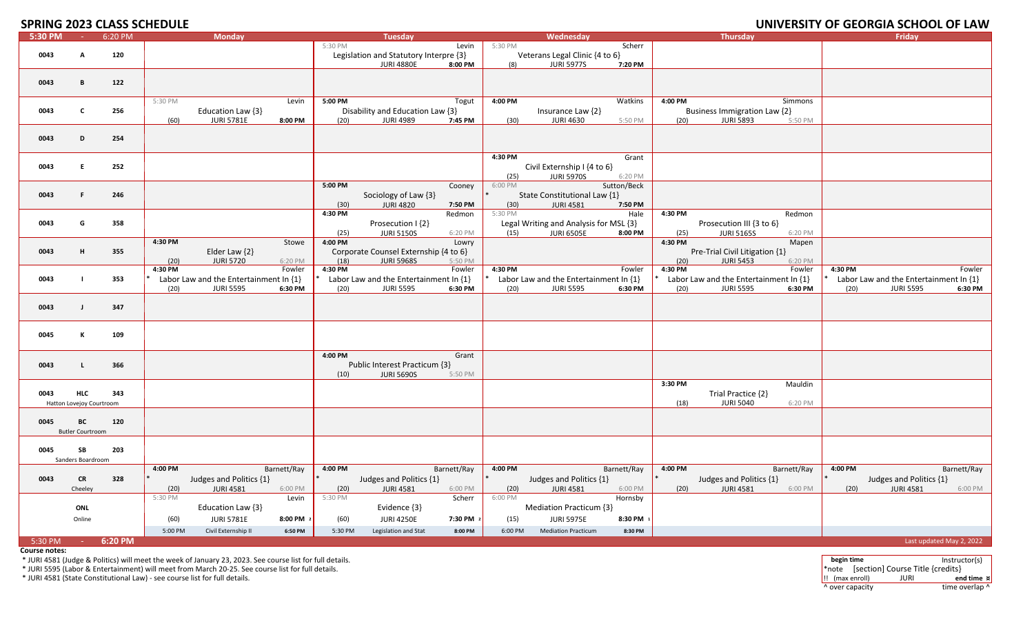# **SPRING 2023 CLASS SCHEDLILE**

|         |                                        |         | JENING ZUZJ CLAJJ JCHEDULE |                                                                |                   |                 |                                                             |                   |                 |                                                             |                        |                 |                                                            |                    |                 | <b>UNIVERSITY OF GEORGIA SCHOOL OF LAW</b>                     |                          |
|---------|----------------------------------------|---------|----------------------------|----------------------------------------------------------------|-------------------|-----------------|-------------------------------------------------------------|-------------------|-----------------|-------------------------------------------------------------|------------------------|-----------------|------------------------------------------------------------|--------------------|-----------------|----------------------------------------------------------------|--------------------------|
| 5:30 PM | <b>College</b>                         | 6:20 PM |                            | <b>Monday</b>                                                  |                   |                 | <b>Tuesday</b>                                              |                   |                 | Wednesday                                                   |                        |                 | <b>Thursday</b>                                            |                    |                 | Fridav                                                         |                          |
| 0043    | $\overline{A}$                         | 120     |                            |                                                                |                   | 5:30 PM         | Legislation and Statutory Interpre {3}<br><b>JURI 4880E</b> | Levin<br>8:00 PM  | 5:30 PM<br>(8)  | Veterans Legal Clinic {4 to 6}<br><b>JURI 5977S</b>         | Scherr<br>7:20 PM      |                 |                                                            |                    |                 |                                                                |                          |
| 0043    | $\mathbf{B}$                           | 122     |                            |                                                                |                   |                 |                                                             |                   |                 |                                                             |                        |                 |                                                            |                    |                 |                                                                |                          |
|         |                                        |         |                            |                                                                |                   |                 |                                                             |                   |                 |                                                             |                        |                 |                                                            |                    |                 |                                                                |                          |
| 0043    | C                                      | 256     | 5:30 PM<br>(60)            | Education Law {3}<br><b>JURI 5781E</b>                         | Levin<br>8:00 PM  | 5:00 PM<br>(20) | Disability and Education Law {3}<br><b>JURI 4989</b>        | Togut<br>7:45 PM  | 4:00 PM<br>(30) | Insurance Law {2}<br><b>JURI 4630</b>                       | Watkins<br>5:50 PM     | 4:00 PM<br>(20) | Business Immigration Law {2}<br><b>JURI 5893</b>           | Simmons<br>5:50 PM |                 |                                                                |                          |
| 0043    | D                                      | 254     |                            |                                                                |                   |                 |                                                             |                   |                 |                                                             |                        |                 |                                                            |                    |                 |                                                                |                          |
| 0043    | E                                      | 252     |                            |                                                                |                   |                 |                                                             |                   | 4:30 PM<br>(25) | Civil Externship I {4 to 6}<br><b>JURI 5970S</b>            | Grant<br>6:20 PM       |                 |                                                            |                    |                 |                                                                |                          |
| 0043    | F                                      | 246     |                            |                                                                |                   | 5:00 PM<br>(30) | Sociology of Law {3}<br><b>JURI 4820</b>                    | Cooney<br>7:50 PM | 6:00 PM<br>(30) | State Constitutional Law {1}<br><b>JURI 4581</b>            | Sutton/Beck<br>7:50 PM |                 |                                                            |                    |                 |                                                                |                          |
| 0043    | G                                      | 358     |                            |                                                                |                   | 4:30 PM<br>(25) | Prosecution I {2}<br><b>JURI 5150S</b>                      | Redmon<br>6:20 PM | 5:30 PM<br>(15) | Legal Writing and Analysis for MSL {3}<br><b>JURI 6505E</b> | Hale<br>8:00 PM        | 4:30 PM<br>(25) | Prosecution III {3 to 6}<br><b>JURI 5165S</b>              | Redmon<br>6:20 PM  |                 |                                                                |                          |
| 0043    | H                                      | 355     | 4:30 PM<br>(20)            | Elder Law $\{2\}$<br><b>JURI 5720</b>                          | Stowe<br>6:20 PM  | 4:00 PM<br>(18) | Corporate Counsel Externship {4 to 6}<br><b>JURI 5968S</b>  | Lowry<br>5:50 PM  |                 |                                                             |                        | 4:30 PM<br>(20) | Pre-Trial Civil Litigation {1}<br><b>JURI 5453</b>         | Mapen<br>6:20 PM   |                 |                                                                |                          |
| 0043    |                                        | 353     | 4:30 PM<br>(20)            | Labor Law and the Entertainment In $\{1\}$<br><b>JURI 5595</b> | Fowler<br>6:30 PM | 4:30 PM<br>(20) | Labor Law and the Entertainment In {1}<br><b>JURI 5595</b>  | Fowler<br>6:30 PM | 4:30 PM<br>(20) | Labor Law and the Entertainment In {1}<br><b>JURI 5595</b>  | Fowler<br>6:30 PM      | 4:30 PM<br>(20) | Labor Law and the Entertainment In {1}<br><b>JURI 5595</b> | Fowler<br>6:30 PM  | 4:30 PM<br>(20) | Labor Law and the Entertainment In $\{1\}$<br><b>JURI 5595</b> | Fowler<br>6:30 PM        |
| 0043    | - 1                                    | 347     |                            |                                                                |                   |                 |                                                             |                   |                 |                                                             |                        |                 |                                                            |                    |                 |                                                                |                          |
| 0045    | К                                      | 109     |                            |                                                                |                   |                 |                                                             |                   |                 |                                                             |                        |                 |                                                            |                    |                 |                                                                |                          |
| 0043    | L                                      | 366     |                            |                                                                |                   | 4:00 PM<br>(10) | Public Interest Practicum {3}<br><b>JURI 5690S</b>          | Grant<br>5:50 PM  |                 |                                                             |                        |                 |                                                            |                    |                 |                                                                |                          |
| 0043    | <b>HLC</b><br>Hatton Lovejoy Courtroom | 343     |                            |                                                                |                   |                 |                                                             |                   |                 |                                                             |                        | 3:30 PM<br>(18) | Trial Practice {2}<br><b>JURI 5040</b>                     | Mauldin<br>6:20 PM |                 |                                                                |                          |
| 0045    | BC<br><b>Butler Courtroom</b>          | 120     |                            |                                                                |                   |                 |                                                             |                   |                 |                                                             |                        |                 |                                                            |                    |                 |                                                                |                          |
| 0045    | <b>SB</b><br>Sanders Boardroom         | 203     |                            |                                                                |                   |                 |                                                             |                   |                 |                                                             |                        |                 |                                                            |                    |                 |                                                                |                          |
|         |                                        |         | 4:00 PM                    |                                                                | Barnett/Ray       | 4:00 PM         |                                                             | Barnett/Ray       | 4:00 PM         |                                                             | Barnett/Ray            | 4:00 PM         |                                                            | Barnett/Ray        | 4:00 PM         |                                                                | Barnett/Ray              |
| 0043    | <b>CR</b>                              | 328     |                            | Judges and Politics {1}                                        |                   |                 | Judges and Politics {1}                                     |                   |                 | Judges and Politics {1}                                     |                        |                 | Judges and Politics {1}                                    |                    |                 | Judges and Politics {1}                                        |                          |
|         | Cheeley                                |         | (20)                       | <b>JURI 4581</b>                                               | 6:00 PM           | (20)            | <b>JURI 4581</b>                                            | 6:00 PM           | (20)            | <b>JURI 4581</b>                                            | 6:00 PM                | (20)            | <b>JURI 4581</b>                                           | 6:00 PM            | (20)            | <b>JURI 4581</b>                                               | 6:00 PM                  |
|         | ONL                                    |         | 5:30 PM                    | Education Law {3}                                              | Levin             | 5:30 PM         | Evidence {3}                                                | Scherr            | 6:00 PM         | Mediation Practicum {3}                                     | Hornsby                |                 |                                                            |                    |                 |                                                                |                          |
|         | Online                                 |         | (60)                       | <b>JURI 5781E</b>                                              | 8:00 PM 2         | (60)            | <b>JURI 4250E</b>                                           | 7:30 PM 2         | (15)            | <b>JURI 5975E</b>                                           | 8:30 PM                |                 |                                                            |                    |                 |                                                                |                          |
|         |                                        |         | 5:00 PM                    | Civil Externship II                                            | 6:50 PM           | 5:30 PM         | Legislation and Stat                                        | 8:00 PM           | 6:00 PM         | <b>Mediation Practicum</b>                                  | 8:30 PM                |                 |                                                            |                    |                 |                                                                |                          |
| 5:30 PM | $\sim 10^{-1}$                         | 6:20 PM |                            |                                                                |                   |                 |                                                             |                   |                 |                                                             |                        |                 |                                                            |                    |                 |                                                                | Last updated May 2, 2022 |

**Course notes:**

\* JURI 4581 (Judge & Politics) will meet the week of January 23, 2023. See course list for full details. **begin time** Instructor(s)

\* JURI 5595 (Labor & Entertainment) will meet from March 20‐25. See course list for full details. \*note [section] Course Title {credits}

\* JURI 4581 (State Constitutional Law) ‐ see course list for full details. !! (max enroll) JURI **end time ¤**

^ over capacity  $\hspace{1cm}$  time overlap ^